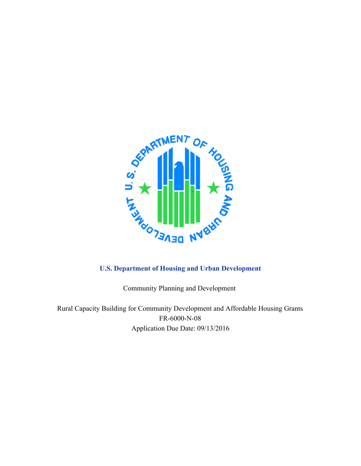

Community Planning and Development

Rural Capacity Building for Community Development and Affordable Housing Grants FR-6000-N-08 Application Due Date: 09/13/2016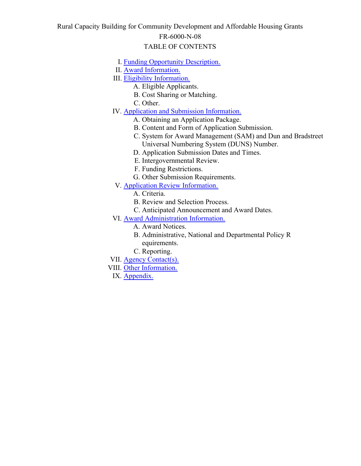### Rural Capacity Building for Community Development and Affordable Housing Grants FR-6000-N-08

# TABLE OF CONTENTS

- I. [Funding Opportunity Description.](#page-2-0)
- II. [Award Information.](#page-5-0)
- III. [Eligibility Information.](#page-6-0)
	- A. Eligible Applicants.
	- B. Cost Sharing or Matching.
	- C. Other.
- IV. **[Application and Submission Information.](#page-13-0)** 
	- A. Obtaining an Application Package.
	- B. Content and Form of Application Submission.
	- C. System for Award Management (SAM) and Dun and Bradstreet Universal Numbering System (DUNS) Number.
	- D. Application Submission Dates and Times.
	- E. Intergovernmental Review.
	- F. Funding Restrictions.
	- G. Other Submission Requirements.
- V. **[Application Review Information.](#page-18-0)** 
	- A. Criteria.
	- B. Review and Selection Process.
	- C. Anticipated Announcement and Award Dates.
- VI. **[Award Administration Information.](#page-26-0)** 
	- A. Award Notices.
	- B. Administrative, National and Departmental Policy R equirements.
	- C. Reporting.
- VII. [Agency Contact\(s\).](#page-32-0)
- VIII. [Other Information.](#page-32-1)

IX. Appendix.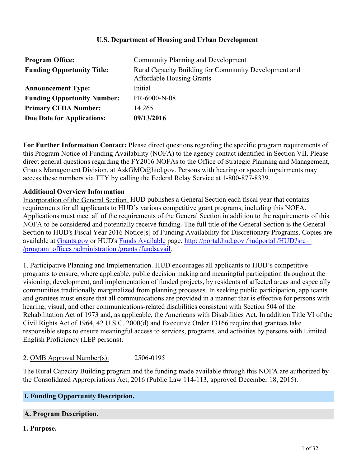### **U.S. Department of Housing and Urban Development**

| <b>Program Office:</b>             | <b>Community Planning and Development</b>                                                 |
|------------------------------------|-------------------------------------------------------------------------------------------|
| <b>Funding Opportunity Title:</b>  | Rural Capacity Building for Community Development and<br><b>Affordable Housing Grants</b> |
| <b>Announcement Type:</b>          | Initial                                                                                   |
| <b>Funding Opportunity Number:</b> | FR-6000-N-08                                                                              |
| <b>Primary CFDA Number:</b>        | 14.265                                                                                    |
| <b>Due Date for Applications:</b>  | 09/13/2016                                                                                |

**For Further Information Contact:** Please direct questions regarding the specific program requirements of this Program Notice of Funding Availability (NOFA) to the agency contact identified in Section VII. Please direct general questions regarding the FY2016 NOFAs to the Office of Strategic Planning and Management, Grants Management Division, at AskGMO@hud.gov. Persons with hearing or speech impairments may access these numbers via TTY by calling the Federal Relay Service at 1-800-877-8339.

#### **Additional Overview Information**

Incorporation of the General Section. HUD publishes a General Section each fiscal year that contains requirements for all applicants to HUD's various competitive grant programs, including this NOFA. Applications must meet all of the requirements of the General Section in addition to the requirements of this NOFA to be considered and potentially receive funding. The full title of the General Section is the General Section to HUD's Fiscal Year 2016 Notice<sup>[5]</sup> of Funding Availability for Discretionary Programs. Copies are available at [Grants.gov](http://www.grants.gov) or HUD's [Funds Available](http://portal.hud.gov/hudportal/HUD?src=/program_offices/administration/grants/fundsavail) page, [http: //portal.hud.gov /hudportal /HUD?src=](http://portal.hud.gov/hudportal/HUD?src=/program_offices/administration/grants/fundsavail) [/program\\_offices /administration /grants /fundsavail](http://portal.hud.gov/hudportal/HUD?src=/program_offices/administration/grants/fundsavail).

1. Participative Planning and Implementation. HUD encourages all applicants to HUD's competitive programs to ensure, where applicable, public decision making and meaningful participation throughout the visioning, development, and implementation of funded projects, by residents of affected areas and especially communities traditionally marginalized from planning processes. In seeking public participation, applicants and grantees must ensure that all communications are provided in a manner that is effective for persons with hearing, visual, and other communications-related disabilities consistent with Section 504 of the Rehabilitation Act of 1973 and, as applicable, the Americans with Disabilities Act. In addition Title VI of the Civil Rights Act of 1964, 42 U.S.C. 2000(d) and Executive Order 13166 require that grantees take responsible steps to ensure meaningful access to services, programs, and activities by persons with Limited English Proficiency (LEP persons).

2. OMB Approval Number(s): 2506-0195

The Rural Capacity Building program and the funding made available through this NOFA are authorized by the Consolidated Appropriations Act, 2016 (Public Law 114-113, approved December 18, 2015).

### <span id="page-2-0"></span>**I. Funding Opportunity Description.**

### **A. Program Description.**

**1. Purpose.**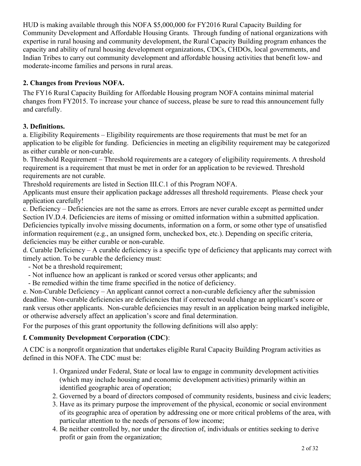HUD is making available through this NOFA \$5,000,000 for FY2016 Rural Capacity Building for Community Development and Affordable Housing Grants. Through funding of national organizations with expertise in rural housing and community development, the Rural Capacity Building program enhances the capacity and ability of rural housing development organizations, CDCs, CHDOs, local governments, and Indian Tribes to carry out community development and affordable housing activities that benefit low- and moderate-income families and persons in rural areas.

# **2. Changes from Previous NOFA.**

The FY16 Rural Capacity Building for Affordable Housing program NOFA contains minimal material changes from FY2015. To increase your chance of success, please be sure to read this announcement fully and carefully.

# **3. Definitions.**

a. Eligibility Requirements – Eligibility requirements are those requirements that must be met for an application to be eligible for funding. Deficiencies in meeting an eligibility requirement may be categorized as either curable or non-curable.

b. Threshold Requirement – Threshold requirements are a category of eligibility requirements. A threshold requirement is a requirement that must be met in order for an application to be reviewed. Threshold requirements are not curable.

Threshold requirements are listed in Section III.C.1 of this Program NOFA.

Applicants must ensure their application package addresses all threshold requirements. Please check your application carefully!

c. Deficiency – Deficiencies are not the same as errors. Errors are never curable except as permitted under Section IV.D.4. Deficiencies are items of missing or omitted information within a submitted application. Deficiencies typically involve missing documents, information on a form, or some other type of unsatisfied information requirement (e.g., an unsigned form, unchecked box, etc.). Depending on specific criteria, deficiencies may be either curable or non-curable.

d. Curable Deficiency – A curable deficiency is a specific type of deficiency that applicants may correct with timely action. To be curable the deficiency must:

- Not be a threshold requirement;
- Not influence how an applicant is ranked or scored versus other applicants; and
- Be remedied within the time frame specified in the notice of deficiency.

e. Non-Curable Deficiency – An applicant cannot correct a non-curable deficiency after the submission deadline. Non-curable deficiencies are deficiencies that if corrected would change an applicant's score or rank versus other applicants. Non-curable deficiencies may result in an application being marked ineligible, or otherwise adversely affect an application's score and final determination.

For the purposes of this grant opportunity the following definitions will also apply:

# **f. Community Development Corporation (CDC)**:

A CDC is a nonprofit organization that undertakes eligible Rural Capacity Building Program activities as defined in this NOFA. The CDC must be:

- 1. Organized under Federal, State or local law to engage in community development activities (which may include housing and economic development activities) primarily within an identified geographic area of operation;
- 2. Governed by a board of directors composed of community residents, business and civic leaders;
- 3. Have as its primary purpose the improvement of the physical, economic or social environment of its geographic area of operation by addressing one or more critical problems of the area, with particular attention to the needs of persons of low income;
- 4. Be neither controlled by, nor under the direction of, individuals or entities seeking to derive profit or gain from the organization;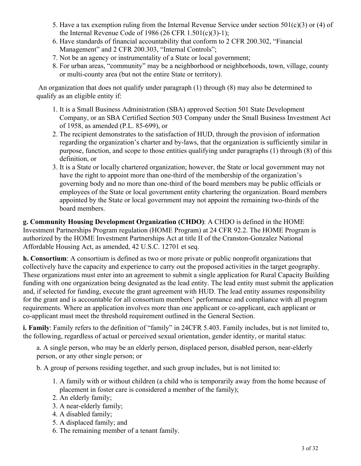- 5. Have a tax exemption ruling from the Internal Revenue Service under section  $501(c)(3)$  or (4) of the Internal Revenue Code of 1986 (26 CFR 1.501(c)(3)-1);
- 6. Have standards of financial accountability that conform to 2 CFR 200.302, "Financial Management" and 2 CFR 200.303, "Internal Controls";
- 7. Not be an agency or instrumentality of a State or local government;
- For urban areas, "community" may be a neighborhood or neighborhoods, town, village, county 8. or multi-county area (but not the entire State or territory).

An organization that does not qualify under paragraph (1) through (8) may also be determined to qualify as an eligible entity if:

- 1. It is a Small Business Administration (SBA) approved Section 501 State Development Company, or an SBA Certified Section 503 Company under the Small Business Investment Act of 1958, as amended (P.L. 85-699), or
- 2. The recipient demonstrates to the satisfaction of HUD, through the provision of information regarding the organization's charter and by-laws, that the organization is sufficiently similar in purpose, function, and scope to those entities qualifying under paragraphs (1) through (8) of this definition, or
- It is a State or locally chartered organization; however, the State or local government may not 3. have the right to appoint more than one-third of the membership of the organization's governing body and no more than one-third of the board members may be public officials or employees of the State or local government entity chartering the organization. Board members appointed by the State or local government may not appoint the remaining two-thirds of the board members.

**g. Community Housing Development Organization (CHDO)**: A CHDO is defined in the HOME Investment Partnerships Program regulation (HOME Program) at 24 CFR 92.2. The HOME Program is authorized by the HOME Investment Partnerships Act at title II of the Cranston-Gonzalez National Affordable Housing Act, as amended, 42 U.S.C. 12701 et seq.

**h. Consortium**: A consortium is defined as two or more private or public nonprofit organizations that collectively have the capacity and experience to carry out the proposed activities in the target geography. These organizations must enter into an agreement to submit a single application for Rural Capacity Building funding with one organization being designated as the lead entity. The lead entity must submit the application and, if selected for funding, execute the grant agreement with HUD. The lead entity assumes responsibility for the grant and is accountable for all consortium members' performance and compliance with all program requirements. Where an application involves more than one applicant or co-applicant, each applicant or co-applicant must meet the threshold requirement outlined in the General Section.

**i. Family**: Family refers to the definition of "family" in 24CFR 5.403. Family includes, but is not limited to, the following, regardless of actual or perceived sexual orientation, gender identity, or marital status:

a. A single person, who may be an elderly person, displaced person, disabled person, near-elderly person, or any other single person; or

b. A group of persons residing together, and such group includes, but is not limited to:

- A family with or without children (a child who is temporarily away from the home because of 1. placement in foster care is considered a member of the family);
- 2. An elderly family;
- 3. A near-elderly family;
- 4. A disabled family;
- 5. A displaced family; and
- 6. The remaining member of a tenant family.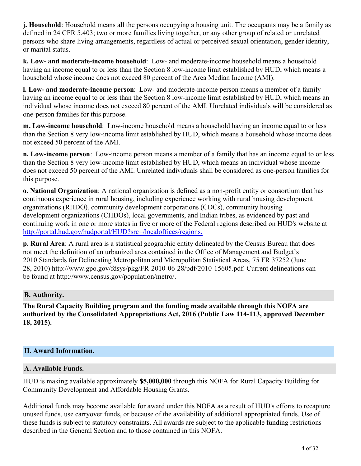**j. Household**: Household means all the persons occupying a housing unit. The occupants may be a family as defined in 24 CFR 5.403; two or more families living together, or any other group of related or unrelated persons who share living arrangements, regardless of actual or perceived sexual orientation, gender identity, or marital status.

**k. Low- and moderate-income household**: Low- and moderate-income household means a household having an income equal to or less than the Section 8 low-income limit established by HUD, which means a household whose income does not exceed 80 percent of the Area Median Income (AMI).

**l. Low- and moderate-income person**: Low- and moderate-income person means a member of a family having an income equal to or less than the Section 8 low-income limit established by HUD, which means an individual whose income does not exceed 80 percent of the AMI. Unrelated individuals will be considered as one-person families for this purpose.

**m. Low-income household**: Low-income household means a household having an income equal to or less than the Section 8 very low-income limit established by HUD, which means a household whose income does not exceed 50 percent of the AMI.

**n. Low-income person**: Low-income person means a member of a family that has an income equal to or less than the Section 8 very low-income limit established by HUD, which means an individual whose income does not exceed 50 percent of the AMI. Unrelated individuals shall be considered as one-person families for this purpose.

**o. National Organization**: A national organization is defined as a non-profit entity or consortium that has continuous experience in rural housing, including experience working with rural housing development organizations (RHDO), community development corporations (CDCs), community housing development organizations (CHDOs), local governments, and Indian tribes, as evidenced by past and continuing work in one or more states in five or more of the Federal regions described on HUD's website at <http://portal.hud.gov/hudportal/HUD?src=/localoffices/regions.>

**p. Rural Area**: A rural area is a statistical geographic entity delineated by the Census Bureau that does not meet the definition of an urbanized area contained in the Office of Management and Budget's 2010 Standards for Delineating Metropolitan and Micropolitan Statistical Areas, 75 FR 37252 (June 28, 2010) http://www.gpo.gov/fdsys/pkg/FR-2010-06-28/pdf/2010-15605.pdf. Current delineations can be found at http://www.census.gov/population/metro/.

### **B. Authority.**

**The Rural Capacity Building program and the funding made available through this NOFA are authorized by the Consolidated Appropriations Act, 2016 (Public Law 114-113, approved December 18, 2015).**

# <span id="page-5-0"></span>**II. Award Information.**

# **A. Available Funds.**

HUD is making available approximately **\$5,000,000** through this NOFA for Rural Capacity Building for Community Development and Affordable Housing Grants.

Additional funds may become available for award under this NOFA as a result of HUD's efforts to recapture unused funds, use carryover funds, or because of the availability of additional appropriated funds. Use of these funds is subject to statutory constraints. All awards are subject to the applicable funding restrictions described in the General Section and to those contained in this NOFA.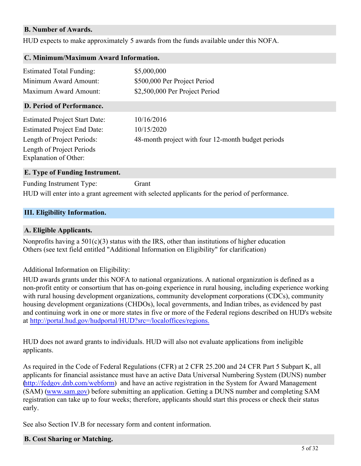#### **B. Number of Awards.**

HUD expects to make approximately 5 awards from the funds available under this NOFA.

| C. Minimum/Maximum Award Information.              |                                                    |
|----------------------------------------------------|----------------------------------------------------|
| <b>Estimated Total Funding:</b>                    | \$5,000,000                                        |
| Minimum Award Amount:                              | \$500,000 Per Project Period                       |
| Maximum Award Amount:                              | \$2,500,000 Per Project Period                     |
| D. Period of Performance.                          |                                                    |
| <b>Estimated Project Start Date:</b>               | 10/16/2016                                         |
| <b>Estimated Project End Date:</b>                 | 10/15/2020                                         |
| Length of Project Periods:                         | 48-month project with four 12-month budget periods |
| Length of Project Periods<br>Explanation of Other: |                                                    |
| E. Type of Funding Instrument.                     |                                                    |

Funding Instrument Type: Grant HUD will enter into a grant agreement with selected applicants for the period of performance.

#### <span id="page-6-0"></span>**III. Eligibility Information.**

#### **A. Eligible Applicants.**

Nonprofits having a  $501(c)(3)$  status with the IRS, other than institutions of higher education Others (see text field entitled "Additional Information on Eligibility" for clarification)

Additional Information on Eligibility:

HUD awards grants under this NOFA to national organizations. A national organization is defined as a non-profit entity or consortium that has on-going experience in rural housing, including experience working with rural housing development organizations, community development corporations (CDCs), community housing development organizations (CHDOs), local governments, and Indian tribes, as evidenced by past and continuing work in one or more states in five or more of the Federal regions described on HUD's website at <http://portal.hud.gov/hudportal/HUD?src=/localoffices/regions.>

HUD does not award grants to individuals. HUD will also not evaluate applications from ineligible applicants.

As required in the Code of Federal Regulations (CFR) at 2 CFR 25.200 and 24 CFR Part 5 Subpart K, all applicants for financial assistance must have an active Data Universal Numbering System (DUNS) number [\(http://fedgov.dnb.com/webform](http://fedgov.dnb.com/webform)) and have an active registration in the System for Award Management (SAM) [\(www.sam.gov](http://www.sam.gov)) before submitting an application. Getting a DUNS number and completing SAM registration can take up to four weeks; therefore, applicants should start this process or check their status early.

See also Section IV.B for necessary form and content information.

#### **B. Cost Sharing or Matching.**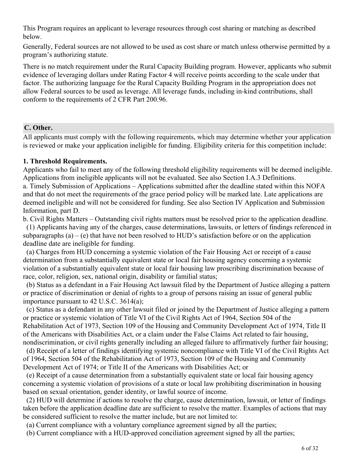This Program requires an applicant to leverage resources through cost sharing or matching as described below.

Generally, Federal sources are not allowed to be used as cost share or match unless otherwise permitted by a program's authorizing statute.

There is no match requirement under the Rural Capacity Building program. However, applicants who submit evidence of leveraging dollars under Rating Factor 4 will receive points according to the scale under that factor. The authorizing language for the Rural Capacity Building Program in the appropriation does not allow Federal sources to be used as leverage. All leverage funds, including in-kind contributions, shall conform to the requirements of 2 CFR Part 200.96.

### **C. Other.**

All applicants must comply with the following requirements, which may determine whether your application is reviewed or make your application ineligible for funding. Eligibility criteria for this competition include:

#### **1. Threshold Requirements.**

Applicants who fail to meet any of the following threshold eligibility requirements will be deemed ineligible. Applications from ineligible applicants will not be evaluated. See also Section I.A.3 Definitions. a. Timely Submission of Applications – Applications submitted after the deadline stated within this NOFA and that do not meet the requirements of the grace period policy will be marked late. Late applications are deemed ineligible and will not be considered for funding. See also Section IV Application and Submission Information, part D.

b. Civil Rights Matters – Outstanding civil rights matters must be resolved prior to the application deadline.

 (1) Applicants having any of the charges, cause determinations, lawsuits, or letters of findings referenced in subparagraphs  $(a) - (e)$  that have not been resolved to HUD's satisfaction before or on the application deadline date are ineligible for funding.

 (a) Charges from HUD concerning a systemic violation of the Fair Housing Act or receipt of a cause determination from a substantially equivalent state or local fair housing agency concerning a systemic violation of a substantially equivalent state or local fair housing law proscribing discrimination because of race, color, religion, sex, national origin, disability or familial status;

 (b) Status as a defendant in a Fair Housing Act lawsuit filed by the Department of Justice alleging a pattern or practice of discrimination or denial of rights to a group of persons raising an issue of general public importance pursuant to 42 U.S.C. 3614(a);

 (c) Status as a defendant in any other lawsuit filed or joined by the Department of Justice alleging a pattern or practice or systemic violation of Title VI of the Civil Rights Act of 1964, Section 504 of the Rehabilitation Act of 1973, Section 109 of the Housing and Community Development Act of 1974, Title II of the Americans with Disabilities Act, or a claim under the False Claims Act related to fair housing, nondiscrimination, or civil rights generally including an alleged failure to affirmatively further fair housing;

 (d) Receipt of a letter of findings identifying systemic noncompliance with Title VI of the Civil Rights Act of 1964, Section 504 of the Rehabilitation Act of 1973, Section 109 of the Housing and Community Development Act of 1974; or Title II of the Americans with Disabilities Act; or

 (e) Receipt of a cause determination from a substantially equivalent state or local fair housing agency concerning a systemic violation of provisions of a state or local law prohibiting discrimination in housing based on sexual orientation, gender identity, or lawful source of income.

 (2) HUD will determine if actions to resolve the charge, cause determination, lawsuit, or letter of findings taken before the application deadline date are sufficient to resolve the matter. Examples of actions that may be considered sufficient to resolve the matter include, but are not limited to:

(a) Current compliance with a voluntary compliance agreement signed by all the parties;

(b) Current compliance with a HUD-approved conciliation agreement signed by all the parties;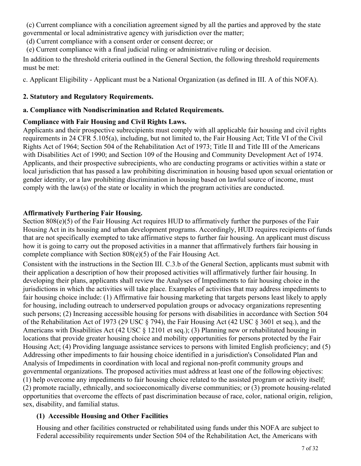(c) Current compliance with a conciliation agreement signed by all the parties and approved by the state governmental or local administrative agency with jurisdiction over the matter;

(d) Current compliance with a consent order or consent decree; or

(e) Current compliance with a final judicial ruling or administrative ruling or decision.

In addition to the threshold criteria outlined in the General Section, the following threshold requirements must be met:

c. Applicant Eligibility - Applicant must be a National Organization (as defined in III. A of this NOFA).

# **2. Statutory and Regulatory Requirements.**

# **a. Compliance with Nondiscrimination and Related Requirements.**

# **Compliance with Fair Housing and Civil Rights Laws.**

Applicants and their prospective subrecipients must comply with all applicable fair housing and civil rights requirements in 24 CFR 5.105(a), including, but not limited to, the Fair Housing Act; Title VI of the Civil Rights Act of 1964; Section 504 of the Rehabilitation Act of 1973; Title II and Title III of the Americans with Disabilities Act of 1990; and Section 109 of the Housing and Community Development Act of 1974. Applicants, and their prospective subrecipients, who are conducting programs or activities within a state or local jurisdiction that has passed a law prohibiting discrimination in housing based upon sexual orientation or gender identity, or a law prohibiting discrimination in housing based on lawful source of income, must comply with the law(s) of the state or locality in which the program activities are conducted.

# **Affirmatively Furthering Fair Housing.**

Section 808(e)(5) of the Fair Housing Act requires HUD to affirmatively further the purposes of the Fair Housing Act in its housing and urban development programs. Accordingly, HUD requires recipients of funds that are not specifically exempted to take affirmative steps to further fair housing. An applicant must discuss how it is going to carry out the proposed activities in a manner that affirmatively furthers fair housing in complete compliance with Section 808(e)(5) of the Fair Housing Act.

Consistent with the instructions in the Section III. C.3.b of the General Section, applicants must submit with their application a description of how their proposed activities will affirmatively further fair housing. In developing their plans, applicants shall review the Analyses of Impediments to fair housing choice in the jurisdictions in which the activities will take place. Examples of activities that may address impediments to fair housing choice include: (1) Affirmative fair housing marketing that targets persons least likely to apply for housing, including outreach to underserved population groups or advocacy organizations representing such persons; (2) Increasing accessible housing for persons with disabilities in accordance with Section 504 of the Rehabilitation Act of 1973 (29 USC § 794), the Fair Housing Act (42 USC § 3601 et seq.), and the Americans with Disabilities Act (42 USC § 12101 et seq.); (3) Planning new or rehabilitated housing in locations that provide greater housing choice and mobility opportunities for persons protected by the Fair Housing Act; (4) Providing language assistance services to persons with limited English proficiency; and (5) Addressing other impediments to fair housing choice identified in a jurisdiction's Consolidated Plan and Analysis of Impediments in coordination with local and regional non-profit community groups and governmental organizations. The proposed activities must address at least one of the following objectives: (1) help overcome any impediments to fair housing choice related to the assisted program or activity itself; (2) promote racially, ethnically, and socioeconomically diverse communities; or (3) promote housing-related opportunities that overcome the effects of past discrimination because of race, color, national origin, religion, sex, disability, and familial status.

# **(1) Accessible Housing and Other Facilities**

Housing and other facilities constructed or rehabilitated using funds under this NOFA are subject to Federal accessibility requirements under Section 504 of the Rehabilitation Act, the Americans with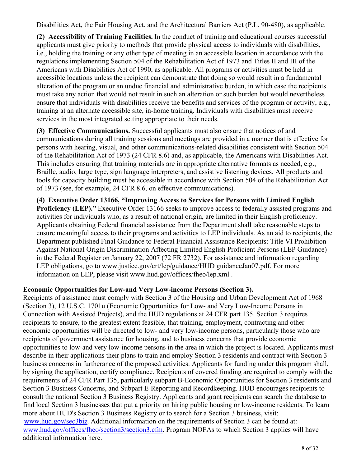Disabilities Act, the Fair Housing Act, and the Architectural Barriers Act (P.L. 90-480), as applicable.

**(2) Accessibility of Training Facilities.** In the conduct of training and educational courses successful applicants must give priority to methods that provide physical access to individuals with disabilities, i.e., holding the training or any other type of meeting in an accessible location in accordance with the regulations implementing Section 504 of the Rehabilitation Act of 1973 and Titles II and III of the Americans with Disabilities Act of 1990, as applicable. All programs or activities must be held in accessible locations unless the recipient can demonstrate that doing so would result in a fundamental alteration of the program or an undue financial and administrative burden, in which case the recipients must take any action that would not result in such an alteration or such burden but would nevertheless ensure that individuals with disabilities receive the benefits and services of the program or activity, e.g., training at an alternate accessible site, in-home training. Individuals with disabilities must receive services in the most integrated setting appropriate to their needs.

**(3) Effective Communications.** Successful applicants must also ensure that notices of and communications during all training sessions and meetings are provided in a manner that is effective for persons with hearing, visual, and other communications-related disabilities consistent with Section 504 of the Rehabilitation Act of 1973 (24 CFR 8.6) and, as applicable, the Americans with Disabilities Act. This includes ensuring that training materials are in appropriate alternative formats as needed, e.g., Braille, audio, large type, sign language interpreters, and assistive listening devices. All products and tools for capacity building must be accessible in accordance with Section 504 of the Rehabilitation Act of 1973 (see, for example, 24 CFR 8.6, on effective communications).

**(4) Executive Order 13166, "Improving Access to Services for Persons with Limited English Proficiency (LEP)."** Executive Order 13166 seeks to improve access to federally assisted programs and activities for individuals who, as a result of national origin, are limited in their English proficiency. Applicants obtaining Federal financial assistance from the Department shall take reasonable steps to ensure meaningful access to their programs and activities to LEP individuals. As an aid to recipients, the Department published Final Guidance to Federal Financial Assistance Recipients: Title VI Prohibition Against National Origin Discrimination Affecting Limited English Proficient Persons (LEP Guidance) in the Federal Register on January 22, 2007 (72 FR 2732). For assistance and information regarding LEP obligations, go to www.justice.gov/crt/lep/guidance/HUD guidanceJan07.pdf. For more information on LEP, please visit www.hud.gov/offices/fheo/lep.xml .

# **Economic Opportunities for Low-and Very Low-income Persons (Section 3).**

Recipients of assistance must comply with Section 3 of the Housing and Urban Development Act of 1968 (Section 3), 12 U.S.C. 1701u (Economic Opportunities for Low- and Very Low-Income Persons in Connection with Assisted Projects), and the HUD regulations at 24 CFR part 135. Section 3 requires recipients to ensure, to the greatest extent feasible, that training, employment, contracting and other economic opportunities will be directed to low- and very low-income persons, particularly those who are recipients of government assistance for housing, and to business concerns that provide economic opportunities to low-and very low-income persons in the area in which the project is located. Applicants must describe in their applications their plans to train and employ Section 3 residents and contract with Section 3 business concerns in furtherance of the proposed activities. Applicants for funding under this program shall, by signing the application, certify compliance. Recipients of covered funding are required to comply with the requirements of 24 CFR Part 135, particularly subpart B-Economic Opportunities for Section 3 residents and Section 3 Business Concerns, and Subpart E-Reporting and Recordkeeping. HUD encourages recipients to consult the national Section 3 Business Registry. Applicants and grant recipients can search the database to find local Section 3 businesses that put a priority on hiring public housing or low-income residents. To learn more about HUD's Section 3 Business Registry or to search for a Section 3 business, visit: [www.hud.gov/sec3biz](http://www.hud.gov/sec3biz). Additional information on the requirements of Section 3 can be found at: [www.hud.gov/offices/fheo/section3/section3.cfm](http://www.hud.gov/offices/fheo/section3/section3.cfm). Program NOFAs to which Section 3 applies will have additional information here.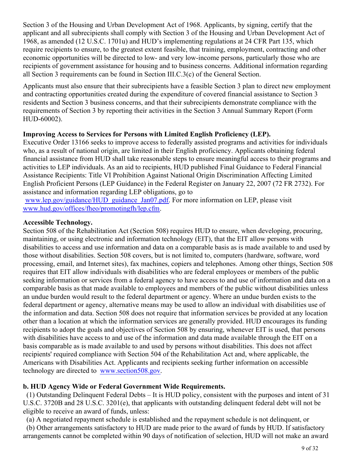Section 3 of the Housing and Urban Development Act of 1968. Applicants, by signing, certify that the applicant and all subrecipients shall comply with Section 3 of the Housing and Urban Development Act of 1968, as amended (12 U.S.C. 1701u) and HUD's implementing regulations at 24 CFR Part 135, which require recipients to ensure, to the greatest extent feasible, that training, employment, contracting and other economic opportunities will be directed to low- and very low-income persons, particularly those who are recipients of government assistance for housing and to business concerns. Additional information regarding all Section 3 requirements can be found in Section III.C.3(c) of the General Section.

Applicants must also ensure that their subrecipients have a feasible Section 3 plan to direct new employment and contracting opportunities created during the expenditure of covered financial assistance to Section 3 residents and Section 3 business concerns, and that their subrecipients demonstrate compliance with the requirements of Section 3 by reporting their activities in the Section 3 Annual Summary Report (Form HUD-60002).

# **Improving Access to Services for Persons with Limited English Proficiency (LEP).**

Executive Order 13166 seeks to improve access to federally assisted programs and activities for individuals who, as a result of national origin, are limited in their English proficiency. Applicants obtaining federal financial assistance from HUD shall take reasonable steps to ensure meaningful access to their programs and activities to LEP individuals. As an aid to recipients, HUD published Final Guidance to Federal Financial Assistance Recipients: Title VI Prohibition Against National Origin Discrimination Affecting Limited English Proficient Persons (LEP Guidance) in the Federal Register on January 22, 2007 (72 FR 2732). For assistance and information regarding LEP obligations, go to

[www.lep.gov/guidance/HUD\\_guidance\\_Jan07.pdf](http://www.lep.gov/guidance/HUD_guidance_Jan07.pdf). For more information on LEP, please visit [www.hud.gov/offices/fheo/promotingfh/lep.cfm](http://www.hud.gov/offices/fheo/promotingfh/lep.cfm).

# **Accessible Technology.**

Section 508 of the Rehabilitation Act (Section 508) requires HUD to ensure, when developing, procuring, maintaining, or using electronic and information technology (EIT), that the EIT allow persons with disabilities to access and use information and data on a comparable basis as is made available to and used by those without disabilities. Section 508 covers, but is not limited to, computers (hardware, software, word processing, email, and Internet sites), fax machines, copiers and telephones. Among other things, Section 508 requires that EIT allow individuals with disabilities who are federal employees or members of the public seeking information or services from a federal agency to have access to and use of information and data on a comparable basis as that made available to employees and members of the public without disabilities unless an undue burden would result to the federal department or agency. Where an undue burden exists to the federal department or agency, alternative means may be used to allow an individual with disabilities use of the information and data. Section 508 does not require that information services be provided at any location other than a location at which the information services are generally provided. HUD encourages its funding recipients to adopt the goals and objectives of Section 508 by ensuring, whenever EIT is used, that persons with disabilities have access to and use of the information and data made available through the EIT on a basis comparable as is made available to and used by persons without disabilities. This does not affect recipients' required compliance with Section 504 of the Rehabilitation Act and, where applicable, the Americans with Disabilities Act. Applicants and recipients seeking further information on accessible technology are directed to [www.section508.gov](http://www.section508.gov).

# **b. HUD Agency Wide or Federal Government Wide Requirements.**

 (1) Outstanding Delinquent Federal Debts – It is HUD policy, consistent with the purposes and intent of 31 U.S.C. 3720B and 28 U.S.C. 3201(e), that applicants with outstanding delinquent federal debt will not be eligible to receive an award of funds, unless:

(a) A negotiated repayment schedule is established and the repayment schedule is not delinquent, or

 (b) Other arrangements satisfactory to HUD are made prior to the award of funds by HUD. If satisfactory arrangements cannot be completed within 90 days of notification of selection, HUD will not make an award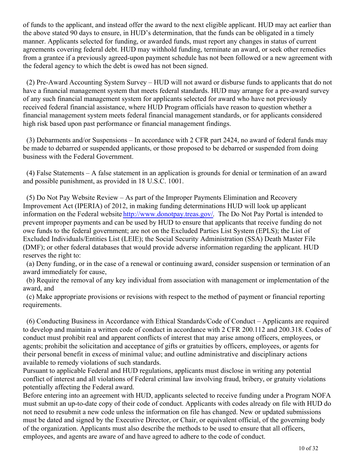of funds to the applicant, and instead offer the award to the next eligible applicant. HUD may act earlier than the above stated 90 days to ensure, in HUD's determination, that the funds can be obligated in a timely manner. Applicants selected for funding, or awarded funds, must report any changes in status of current agreements covering federal debt. HUD may withhold funding, terminate an award, or seek other remedies from a grantee if a previously agreed-upon payment schedule has not been followed or a new agreement with the federal agency to which the debt is owed has not been signed.

 (2) Pre-Award Accounting System Survey – HUD will not award or disburse funds to applicants that do not have a financial management system that meets federal standards. HUD may arrange for a pre-award survey of any such financial management system for applicants selected for award who have not previously received federal financial assistance, where HUD Program officials have reason to question whether a financial management system meets federal financial management standards, or for applicants considered high risk based upon past performance or financial management findings.

 (3) Debarments and/or Suspensions – In accordance with 2 CFR part 2424, no award of federal funds may be made to debarred or suspended applicants, or those proposed to be debarred or suspended from doing business with the Federal Government.

 (4) False Statements – A false statement in an application is grounds for denial or termination of an award and possible punishment, as provided in 18 U.S.C. 1001.

 (5) Do Not Pay Website Review – As part of the Improper Payments Elimination and Recovery Improvement Act (IPERIA) of 2012, in making funding determinations HUD will look up applicant information on the Federal website<http://www.donotpay.treas.gov/>. The Do Not Pay Portal is intended to prevent improper payments and can be used by HUD to ensure that applicants that receive funding do not owe funds to the federal government; are not on the Excluded Parties List System (EPLS); the List of Excluded Individuals/Entities List (LEIE); the Social Security Administration (SSA) Death Master File (DMF); or other federal databases that would provide adverse information regarding the applicant. HUD reserves the right to:

 (a) Deny funding, or in the case of a renewal or continuing award, consider suspension or termination of an award immediately for cause,

 (b) Require the removal of any key individual from association with management or implementation of the award, and

 (c) Make appropriate provisions or revisions with respect to the method of payment or financial reporting requirements.

 (6) Conducting Business in Accordance with Ethical Standards/Code of Conduct – Applicants are required to develop and maintain a written code of conduct in accordance with 2 CFR 200.112 and 200.318. Codes of conduct must prohibit real and apparent conflicts of interest that may arise among officers, employees, or agents; prohibit the solicitation and acceptance of gifts or gratuities by officers, employees, or agents for their personal benefit in excess of minimal value; and outline administrative and disciplinary actions available to remedy violations of such standards.

Pursuant to applicable Federal and HUD regulations, applicants must disclose in writing any potential conflict of interest and all violations of Federal criminal law involving fraud, bribery, or gratuity violations potentially affecting the Federal award.

Before entering into an agreement with HUD, applicants selected to receive funding under a Program NOFA must submit an up-to-date copy of their code of conduct. Applicants with codes already on file with HUD do not need to resubmit a new code unless the information on file has changed. New or updated submissions must be dated and signed by the Executive Director, or Chair, or equivalent official, of the governing body of the organization. Applicants must also describe the methods to be used to ensure that all officers, employees, and agents are aware of and have agreed to adhere to the code of conduct.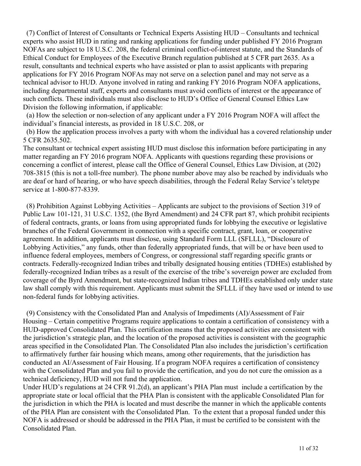(7) Conflict of Interest of Consultants or Technical Experts Assisting HUD – Consultants and technical experts who assist HUD in rating and ranking applications for funding under published FY 2016 Program NOFAs are subject to 18 U.S.C. 208, the federal criminal conflict-of-interest statute, and the Standards of Ethical Conduct for Employees of the Executive Branch regulation published at 5 CFR part 2635. As a result, consultants and technical experts who have assisted or plan to assist applicants with preparing applications for FY 2016 Program NOFAs may not serve on a selection panel and may not serve as a technical advisor to HUD. Anyone involved in rating and ranking FY 2016 Program NOFA applications, including departmental staff, experts and consultants must avoid conflicts of interest or the appearance of such conflicts. These individuals must also disclose to HUD's Office of General Counsel Ethics Law Division the following information, if applicable:

 (a) How the selection or non-selection of any applicant under a FY 2016 Program NOFA will affect the individual's financial interests, as provided in 18 U.S.C. 208, or

 (b) How the application process involves a party with whom the individual has a covered relationship under 5 CFR 2635.502.

The consultant or technical expert assisting HUD must disclose this information before participating in any matter regarding an FY 2016 program NOFA. Applicants with questions regarding these provisions or concerning a conflict of interest, please call the Office of General Counsel, Ethics Law Division, at (202) 708-3815 (this is not a toll-free number). The phone number above may also be reached by individuals who are deaf or hard of hearing, or who have speech disabilities, through the Federal Relay Service's teletype service at 1-800-877-8339.

 (8) Prohibition Against Lobbying Activities – Applicants are subject to the provisions of Section 319 of Public Law 101-121, 31 U.S.C. 1352, (the Byrd Amendment) and 24 CFR part 87, which prohibit recipients of federal contracts, grants, or loans from using appropriated funds for lobbying the executive or legislative branches of the Federal Government in connection with a specific contract, grant, loan, or cooperative agreement. In addition, applicants must disclose, using Standard Form LLL (SFLLL), "Disclosure of Lobbying Activities," any funds, other than federally appropriated funds, that will be or have been used to influence federal employees, members of Congress, or congressional staff regarding specific grants or contracts. Federally-recognized Indian tribes and tribally designated housing entities (TDHEs) established by federally-recognized Indian tribes as a result of the exercise of the tribe's sovereign power are excluded from coverage of the Byrd Amendment, but state-recognized Indian tribes and TDHEs established only under state law shall comply with this requirement. Applicants must submit the SFLLL if they have used or intend to use non-federal funds for lobbying activities.

 (9) Consistency with the Consolidated Plan and Analysis of Impediments (AI)/Assessment of Fair Housing – Certain competitive Programs require applications to contain a certification of consistency with a HUD-approved Consolidated Plan. This certification means that the proposed activities are consistent with the jurisdiction's strategic plan, and the location of the proposed activities is consistent with the geographic areas specified in the Consolidated Plan. The Consolidated Plan also includes the jurisdiction's certification to affirmatively further fair housing which means, among other requirements, that the jurisdiction has conducted an AI/Assessment of Fair Housing. If a program NOFA requires a certification of consistency with the Consolidated Plan and you fail to provide the certification, and you do not cure the omission as a technical deficiency, HUD will not fund the application.

Under HUD's regulations at 24 CFR 91.2(d), an applicant's PHA Plan must include a certification by the appropriate state or local official that the PHA Plan is consistent with the applicable Consolidated Plan for the jurisdiction in which the PHA is located and must describe the manner in which the applicable contents of the PHA Plan are consistent with the Consolidated Plan. To the extent that a proposal funded under this NOFA is addressed or should be addressed in the PHA Plan, it must be certified to be consistent with the Consolidated Plan.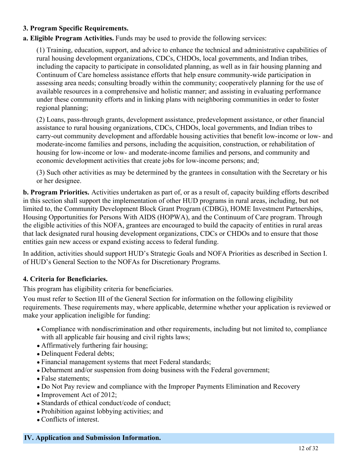# **3. Program Specific Requirements.**

### **a. Eligible Program Activities.** Funds may be used to provide the following services:

(1) Training, education, support, and advice to enhance the technical and administrative capabilities of rural housing development organizations, CDCs, CHDOs, local governments, and Indian tribes, including the capacity to participate in consolidated planning, as well as in fair housing planning and Continuum of Care homeless assistance efforts that help ensure community-wide participation in assessing area needs; consulting broadly within the community; cooperatively planning for the use of available resources in a comprehensive and holistic manner; and assisting in evaluating performance under these community efforts and in linking plans with neighboring communities in order to foster regional planning;

(2) Loans, pass-through grants, development assistance, predevelopment assistance, or other financial assistance to rural housing organizations, CDCs, CHDOs, local governments, and Indian tribes to carry-out community development and affordable housing activities that benefit low-income or low- and moderate-income families and persons, including the acquisition, construction, or rehabilitation of housing for low-income or low- and moderate-income families and persons, and community and economic development activities that create jobs for low-income persons; and;

(3) Such other activities as may be determined by the grantees in consultation with the Secretary or his or her designee.

**b. Program Priorities.** Activities undertaken as part of, or as a result of, capacity building efforts described in this section shall support the implementation of other HUD programs in rural areas, including, but not limited to, the Community Development Block Grant Program (CDBG), HOME Investment Partnerships, Housing Opportunities for Persons With AIDS (HOPWA), and the Continuum of Care program. Through the eligible activities of this NOFA, grantees are encouraged to build the capacity of entities in rural areas that lack designated rural housing development organizations, CDCs or CHDOs and to ensure that those entities gain new access or expand existing access to federal funding.

In addition, activities should support HUD's Strategic Goals and NOFA Priorities as described in Section I. of HUD's General Section to the NOFAs for Discretionary Programs.

### **4. Criteria for Beneficiaries.**

This program has eligibility criteria for beneficiaries.

You must refer to Section III of the General Section for information on the following eligibility requirements. These requirements may, where applicable, determine whether your application is reviewed or make your application ineligible for funding:

- Compliance with nondiscrimination and other requirements, including but not limited to, compliance with all applicable fair housing and civil rights laws;
- Affirmatively furthering fair housing;
- Delinquent Federal debts;
- Financial management systems that meet Federal standards;
- Debarment and/or suspension from doing business with the Federal government;
- False statements;
- Do Not Pay review and compliance with the Improper Payments Elimination and Recovery
- Improvement Act of 2012;
- Standards of ethical conduct/code of conduct;
- Prohibition against lobbying activities; and
- Conflicts of interest.

### <span id="page-13-0"></span>**IV. Application and Submission Information.**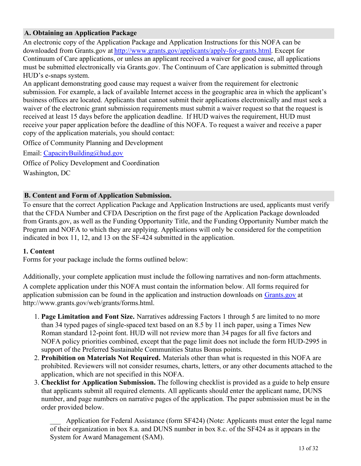# **A. Obtaining an Application Package**

An electronic copy of the Application Package and Application Instructions for this NOFA can be downloaded from Grants.gov at<http://www.grants.gov/applicants/apply-for-grants.html>. Except for Continuum of Care applications, or unless an applicant received a waiver for good cause, all applications must be submitted electronically via Grants.gov. The Continuum of Care application is submitted through HUD's e-snaps system.

An applicant demonstrating good cause may request a waiver from the requirement for electronic submission. For example, a lack of available Internet access in the geographic area in which the applicant's business offices are located. Applicants that cannot submit their applications electronically and must seek a waiver of the electronic grant submission requirements must submit a waiver request so that the request is received at least 15 days before the application deadline. If HUD waives the requirement, HUD must receive your paper application before the deadline of this NOFA. To request a waiver and receive a paper copy of the application materials, you should contact:

Office of Community Planning and Development

Email: [CapacityBuilding@hud.gov](mailto:CapacityBuilding@hud.gov)

Office of Policy Development and Coordination Washington, DC

### **B. Content and Form of Application Submission.**

To ensure that the correct Application Package and Application Instructions are used, applicants must verify that the CFDA Number and CFDA Description on the first page of the Application Package downloaded from Grants.gov, as well as the Funding Opportunity Title, and the Funding Opportunity Number match the Program and NOFA to which they are applying. Applications will only be considered for the competition indicated in box 11, 12, and 13 on the SF-424 submitted in the application.

### **1. Content**

Forms for your package include the forms outlined below:

Additionally, your complete application must include the following narratives and non-form attachments.

A complete application under this NOFA must contain the information below. All forms required for application submission can be found in the application and instruction downloads on [Grants.gov](http://Grants.gov) at http://www.grants.gov/web/grants/forms.html.

- **Page Limitation and Font Size.** Narratives addressing Factors 1 through 5 are limited to no more 1. than 34 typed pages of single-spaced text based on an 8.5 by 11 inch paper, using a Times New Roman standard 12-point font. HUD will not review more than 34 pages for all five factors and NOFA policy priorities combined, except that the page limit does not include the form HUD-2995 in support of the Preferred Sustainable Communities Status Bonus points.
- **Prohibition on Materials Not Required.** Materials other than what is requested in this NOFA are 2. prohibited. Reviewers will not consider resumes, charts, letters, or any other documents attached to the application, which are not specified in this NOFA.
- **Checklist for Application Submission.** The following checklist is provided as a guide to help ensure 3. that applicants submit all required elements. All applicants should enter the applicant name, DUNS number, and page numbers on narrative pages of the application. The paper submission must be in the order provided below.

Application for Federal Assistance (form SF424) (Note: Applicants must enter the legal name of their organization in box 8.a. and DUNS number in box 8.c. of the SF424 as it appears in the System for Award Management (SAM).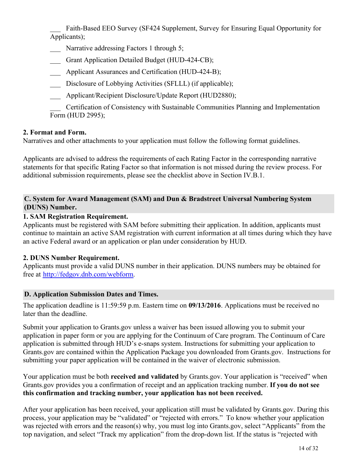Faith-Based EEO Survey (SF424 Supplement, Survey for Ensuring Equal Opportunity for Applicants);

- Narrative addressing Factors 1 through 5;
- Grant Application Detailed Budget (HUD-424-CB);
- Applicant Assurances and Certification (HUD-424-B);
- Disclosure of Lobbying Activities (SFLLL) (if applicable);
- Applicant/Recipient Disclosure/Update Report (HUD2880);

\_\_\_ Certification of Consistency with Sustainable Communities Planning and Implementation Form (HUD 2995);

# **2. Format and Form.**

Narratives and other attachments to your application must follow the following format guidelines.

Applicants are advised to address the requirements of each Rating Factor in the corresponding narrative statements for that specific Rating Factor so that information is not missed during the review process. For additional submission requirements, please see the checklist above in Section IV.B.1.

# **C. System for Award Management (SAM) and Dun & Bradstreet Universal Numbering System (DUNS) Number.**

# **1. SAM Registration Requirement.**

Applicants must be registered with SAM before submitting their application. In addition, applicants must continue to maintain an active SAM registration with current information at all times during which they have an active Federal award or an application or plan under consideration by HUD.

### **2. DUNS Number Requirement.**

Applicants must provide a valid DUNS number in their application. DUNS numbers may be obtained for free at <http://fedgov.dnb.com/webform>.

### **D. Application Submission Dates and Times.**

The application deadline is 11:59:59 p.m. Eastern time on **09/13/2016**. Applications must be received no later than the deadline.

Submit your application to Grants.gov unless a waiver has been issued allowing you to submit your application in paper form or you are applying for the Continuum of Care program. The Continuum of Care application is submitted through HUD's e-snaps system. Instructions for submitting your application to Grants.gov are contained within the Application Package you downloaded from Grants.gov. Instructions for submitting your paper application will be contained in the waiver of electronic submission.

Your application must be both **received and validated** by Grants.gov. Your application is "received" when Grants.gov provides you a confirmation of receipt and an application tracking number. **If you do not see this confirmation and tracking number, your application has not been received.**

After your application has been received, your application still must be validated by Grants.gov. During this process, your application may be "validated" or "rejected with errors." To know whether your application was rejected with errors and the reason(s) why, you must log into Grants.gov, select "Applicants" from the top navigation, and select "Track my application" from the drop-down list. If the status is "rejected with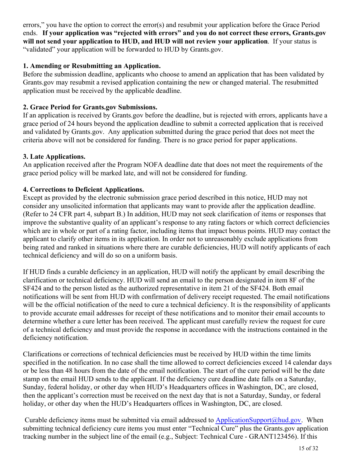errors," you have the option to correct the error(s) and resubmit your application before the Grace Period ends. **If your application was "rejected with errors" and you do not correct these errors, Grants.gov will not send your application to HUD, and HUD will not review your application**. If your status is "validated" your application will be forwarded to HUD by Grants.gov.

# **1. Amending or Resubmitting an Application.**

Before the submission deadline, applicants who choose to amend an application that has been validated by Grants.gov may resubmit a revised application containing the new or changed material. The resubmitted application must be received by the applicable deadline.

# **2. Grace Period for Grants.gov Submissions.**

If an application is received by Grants.gov before the deadline, but is rejected with errors, applicants have a grace period of 24 hours beyond the application deadline to submit a corrected application that is received and validated by Grants.gov. Any application submitted during the grace period that does not meet the criteria above will not be considered for funding. There is no grace period for paper applications.

# **3. Late Applications.**

An application received after the Program NOFA deadline date that does not meet the requirements of the grace period policy will be marked late, and will not be considered for funding.

# **4. Corrections to Deficient Applications.**

Except as provided by the electronic submission grace period described in this notice, HUD may not consider any unsolicited information that applicants may want to provide after the application deadline. (Refer to 24 CFR part 4, subpart B.) In addition, HUD may not seek clarification of items or responses that improve the substantive quality of an applicant's response to any rating factors or which correct deficiencies which are in whole or part of a rating factor, including items that impact bonus points. HUD may contact the applicant to clarify other items in its application. In order not to unreasonably exclude applications from being rated and ranked in situations where there are curable deficiencies, HUD will notify applicants of each technical deficiency and will do so on a uniform basis.

If HUD finds a curable deficiency in an application, HUD will notify the applicant by email describing the clarification or technical deficiency. HUD will send an email to the person designated in item 8F of the SF424 and to the person listed as the authorized representative in item 21 of the SF424. Both email notifications will be sent from HUD with confirmation of delivery receipt requested. The email notifications will be the official notification of the need to cure a technical deficiency. It is the responsibility of applicants to provide accurate email addresses for receipt of these notifications and to monitor their email accounts to determine whether a cure letter has been received. The applicant must carefully review the request for cure of a technical deficiency and must provide the response in accordance with the instructions contained in the deficiency notification.

Clarifications or corrections of technical deficiencies must be received by HUD within the time limits specified in the notification. In no case shall the time allowed to correct deficiencies exceed 14 calendar days or be less than 48 hours from the date of the email notification. The start of the cure period will be the date stamp on the email HUD sends to the applicant. If the deficiency cure deadline date falls on a Saturday, Sunday, federal holiday, or other day when HUD's Headquarters offices in Washington, DC, are closed, then the applicant's correction must be received on the next day that is not a Saturday, Sunday, or federal holiday, or other day when the HUD's Headquarters offices in Washington, DC, are closed.

Curable deficiency items must be submitted via email addressed to [ApplicationSupport@hud.gov](mailto:ApplicationSupport@hud.gov). When submitting technical deficiency cure items you must enter "Technical Cure" plus the Grants.gov application tracking number in the subject line of the email (e.g., Subject: Technical Cure - GRANT123456). If this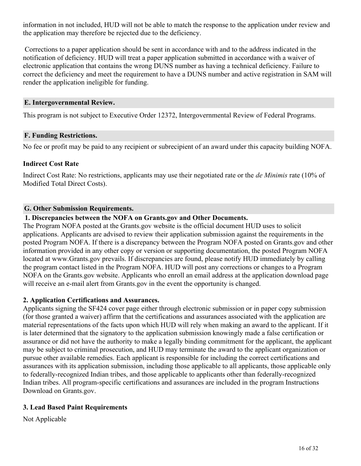information in not included, HUD will not be able to match the response to the application under review and the application may therefore be rejected due to the deficiency.

 Corrections to a paper application should be sent in accordance with and to the address indicated in the notification of deficiency. HUD will treat a paper application submitted in accordance with a waiver of electronic application that contains the wrong DUNS number as having a technical deficiency. Failure to correct the deficiency and meet the requirement to have a DUNS number and active registration in SAM will render the application ineligible for funding.

#### **E. Intergovernmental Review.**

This program is not subject to Executive Order 12372, Intergovernmental Review of Federal Programs.

#### **F. Funding Restrictions.**

No fee or profit may be paid to any recipient or subrecipient of an award under this capacity building NOFA.

### **Indirect Cost Rate**

Indirect Cost Rate: No restrictions, applicants may use their negotiated rate or the *de Minimis* rate (10% of Modified Total Direct Costs).

#### **G. Other Submission Requirements.**

#### **1. Discrepancies between the NOFA on Grants.gov and Other Documents.**

The Program NOFA posted at the Grants.gov website is the official document HUD uses to solicit applications. Applicants are advised to review their application submission against the requirements in the posted Program NOFA. If there is a discrepancy between the Program NOFA posted on Grants.gov and other information provided in any other copy or version or supporting documentation, the posted Program NOFA located at www.Grants.gov prevails. If discrepancies are found, please notify HUD immediately by calling the program contact listed in the Program NOFA. HUD will post any corrections or changes to a Program NOFA on the Grants.gov website. Applicants who enroll an email address at the application download page will receive an e-mail alert from Grants.gov in the event the opportunity is changed.

### **2. Application Certifications and Assurances.**

Applicants signing the SF424 cover page either through electronic submission or in paper copy submission (for those granted a waiver) affirm that the certifications and assurances associated with the application are material representations of the facts upon which HUD will rely when making an award to the applicant. If it is later determined that the signatory to the application submission knowingly made a false certification or assurance or did not have the authority to make a legally binding commitment for the applicant, the applicant may be subject to criminal prosecution, and HUD may terminate the award to the applicant organization or pursue other available remedies. Each applicant is responsible for including the correct certifications and assurances with its application submission, including those applicable to all applicants, those applicable only to federally-recognized Indian tribes, and those applicable to applicants other than federally-recognized Indian tribes. All program-specific certifications and assurances are included in the program Instructions Download on Grants.gov.

### **3. Lead Based Paint Requirements**

Not Applicable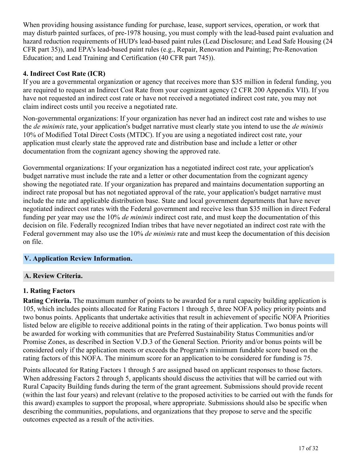When providing housing assistance funding for purchase, lease, support services, operation, or work that may disturb painted surfaces, of pre-1978 housing, you must comply with the lead-based paint evaluation and hazard reduction requirements of HUD's lead-based paint rules (Lead Disclosure; and Lead Safe Housing (24 CFR part 35)), and EPA's lead-based paint rules (e.g., Repair, Renovation and Painting; Pre-Renovation Education; and Lead Training and Certification (40 CFR part 745)).

# **4. Indirect Cost Rate (ICR)**

If you are a governmental organization or agency that receives more than \$35 million in federal funding, you are required to request an Indirect Cost Rate from your cognizant agency (2 CFR 200 Appendix VII). If you have not requested an indirect cost rate or have not received a negotiated indirect cost rate, you may not claim indirect costs until you receive a negotiated rate.

Non-governmental organizations: If your organization has never had an indirect cost rate and wishes to use the *de minimis* rate, your application's budget narrative must clearly state you intend to use the *de minimis* 10% of Modified Total Direct Costs (MTDC). If you are using a negotiated indirect cost rate, your application must clearly state the approved rate and distribution base and include a letter or other documentation from the cognizant agency showing the approved rate.

Governmental organizations: If your organization has a negotiated indirect cost rate, your application's budget narrative must include the rate and a letter or other documentation from the cognizant agency showing the negotiated rate. If your organization has prepared and maintains documentation supporting an indirect rate proposal but has not negotiated approval of the rate, your application's budget narrative must include the rate and applicable distribution base. State and local government departments that have never negotiated indirect cost rates with the Federal government and receive less than \$35 million in direct Federal funding per year may use the 10% *de minimis* indirect cost rate, and must keep the documentation of this decision on file. Federally recognized Indian tribes that have never negotiated an indirect cost rate with the Federal government may also use the 10% *de minimis* rate and must keep the documentation of this decision on file.

### <span id="page-18-0"></span>**V. Application Review Information.**

### **A. Review Criteria.**

### **1. Rating Factors**

**Rating Criteria.** The maximum number of points to be awarded for a rural capacity building application is 105, which includes points allocated for Rating Factors 1 through 5, three NOFA policy priority points and two bonus points. Applicants that undertake activities that result in achievement of specific NOFA Priorities listed below are eligible to receive additional points in the rating of their application. Two bonus points will be awarded for working with communities that are Preferred Sustainability Status Communities and/or Promise Zones, as described in Section V.D.3 of the General Section. Priority and/or bonus points will be considered only if the application meets or exceeds the Program's minimum fundable score based on the rating factors of this NOFA. The minimum score for an application to be considered for funding is 75.

Points allocated for Rating Factors 1 through 5 are assigned based on applicant responses to those factors. When addressing Factors 2 through 5, applicants should discuss the activities that will be carried out with Rural Capacity Building funds during the term of the grant agreement. Submissions should provide recent (within the last four years) and relevant (relative to the proposed activities to be carried out with the funds for this award) examples to support the proposal, where appropriate. Submissions should also be specific when describing the communities, populations, and organizations that they propose to serve and the specific outcomes expected as a result of the activities.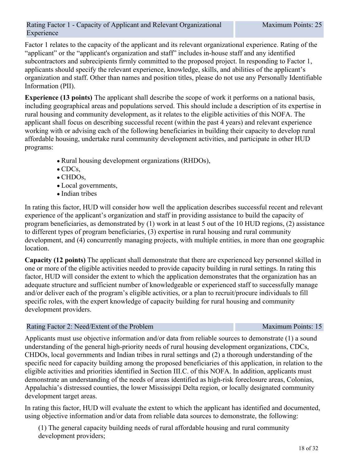#### Rating Factor 1 - Capacity of Applicant and Relevant Organizational Experience

Factor 1 relates to the capacity of the applicant and its relevant organizational experience. Rating of the "applicant" or the "applicant's organization and staff" includes in-house staff and any identified subcontractors and subrecipients firmly committed to the proposed project. In responding to Factor 1, applicants should specify the relevant experience, knowledge, skills, and abilities of the applicant's organization and staff. Other than names and position titles, please do not use any Personally Identifiable Information (PII).

**Experience (13 points)** The applicant shall describe the scope of work it performs on a national basis, including geographical areas and populations served. This should include a description of its expertise in rural housing and community development, as it relates to the eligible activities of this NOFA. The applicant shall focus on describing successful recent (within the past 4 years) and relevant experience working with or advising each of the following beneficiaries in building their capacity to develop rural affordable housing, undertake rural community development activities, and participate in other HUD programs:

- Rural housing development organizations (RHDOs),
- $\bullet$  CDCs.
- CHDOs,
- Local governments,
- Indian tribes

In rating this factor, HUD will consider how well the application describes successful recent and relevant experience of the applicant's organization and staff in providing assistance to build the capacity of program beneficiaries, as demonstrated by (1) work in at least 5 out of the 10 HUD regions, (2) assistance to different types of program beneficiaries, (3) expertise in rural housing and rural community development, and (4) concurrently managing projects, with multiple entities, in more than one geographic location.

**Capacity (12 points)** The applicant shall demonstrate that there are experienced key personnel skilled in one or more of the eligible activities needed to provide capacity building in rural settings. In rating this factor, HUD will consider the extent to which the application demonstrates that the organization has an adequate structure and sufficient number of knowledgeable or experienced staff to successfully manage and/or deliver each of the program's eligible activities, or a plan to recruit/procure individuals to fill specific roles, with the expert knowledge of capacity building for rural housing and community development providers.

#### Rating Factor 2: Need/Extent of the Problem **Maximum Points: 15** Maximum Points: 15

Applicants must use objective information and/or data from reliable sources to demonstrate (1) a sound understanding of the general high-priority needs of rural housing development organizations, CDCs, CHDOs, local governments and Indian tribes in rural settings and (2) a thorough understanding of the specific need for capacity building among the proposed beneficiaries of this application, in relation to the eligible activities and priorities identified in Section III.C. of this NOFA. In addition, applicants must demonstrate an understanding of the needs of areas identified as high-risk foreclosure areas, Colonias, Appalachia's distressed counties, the lower Mississippi Delta region, or locally designated community development target areas.

In rating this factor, HUD will evaluate the extent to which the applicant has identified and documented, using objective information and/or data from reliable data sources to demonstrate, the following:

(1) The general capacity building needs of rural affordable housing and rural community development providers;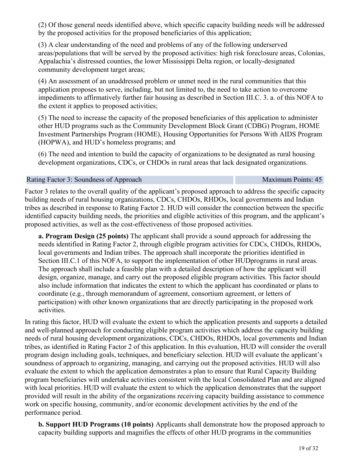(2) Of those general needs identified above, which specific capacity building needs will be addressed by the proposed activities for the proposed beneficiaries of this application;

(3) A clear understanding of the need and problems of any of the following underserved areas/populations that will be served by the proposed activities: high risk foreclosure areas, Colonias, Appalachia's distressed counties, the lower Mississippi Delta region, or locally-designated community development target areas;

(4) An assessment of an unaddressed problem or unmet need in the rural communities that this application proposes to serve, including, but not limited to, the need to take action to overcome impediments to affirmatively further fair housing as described in Section III.C. 3. a. of this NOFA to the extent it applies to proposed activities;

(5) The need to increase the capacity of the proposed beneficiaries of this application to administer other HUD programs such as the Community Development Block Grant (CDBG) Program, HOME Investment Partnerships Program (HOME), Housing Opportunities for Persons With AIDS Program (HOPWA), and HUD's homeless programs; and

(6) The need and intention to build the capacity of organizations to be designated as rural housing development organizations, CDCs, or CHDOs in rural areas that lack designated organizations.

#### Rating Factor 3: Soundness of Approach 
Maximum Points: 45

Factor 3 relates to the overall quality of the applicant's proposed approach to address the specific capacity building needs of rural housing organizations, CDCs, CHDOs, RHDOs, local governments and Indian tribes as described in response to Rating Factor 2. HUD will consider the connection between the specific identified capacity building needs, the priorities and eligible activities of this program, and the applicant's proposed activities, as well as the cost-effectiveness of those proposed activities.

**a. Program Design (25 points)** The applicant shall provide a sound approach for addressing the needs identified in Rating Factor 2, through eligible program activities for CDCs, CHDOs, RHDOs, local governments and Indian tribes. The approach shall incorporate the priorities identified in Section III.C.1 of this NOFA, to support the implementation of other HUD programs in rural areas. The approach shall include a feasible plan with a detailed description of how the applicant will design, organize, manage, and carry out the proposed eligible program activities. This factor should also include information that indicates the extent to which the applicant has coordinated or plans to coordinate (e.g., through memorandum of agreement, consortium agreement, or letters of participation) with other known organizations that are directly participating in the proposed work activities.

In rating this factor, HUD will evaluate the extent to which the application presents and supports a detailed and well-planned approach for conducting eligible program activities which address the capacity building needs of rural housing development organizations, CDCs, CHDOs, RHDOs, local governments and Indian tribes, as identified in Rating Factor 2 of this application. In this evaluation, HUD will consider the overall program design including goals, techniques, and beneficiary selection. HUD will evaluate the applicant's soundness of approach to organizing, managing, and carrying out the proposed activities. HUD will also evaluate the extent to which the application demonstrates a plan to ensure that Rural Capacity Building program beneficiaries will undertake activities consistent with the local Consolidated Plan and are aligned with local priorities. HUD will evaluate the extent to which the application demonstrates that the support provided will result in the ability of the organizations receiving capacity building assistance to commence work on specific housing, community, and/or economic development activities by the end of the performance period.

**b. Support HUD Programs (10 points)** Applicants shall demonstrate how the proposed approach to capacity building supports and magnifies the effects of other HUD programs in the communities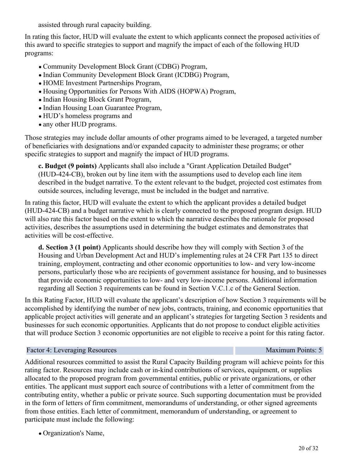assisted through rural capacity building.

In rating this factor, HUD will evaluate the extent to which applicants connect the proposed activities of this award to specific strategies to support and magnify the impact of each of the following HUD programs:

- Community Development Block Grant (CDBG) Program,
- Indian Community Development Block Grant (ICDBG) Program,
- HOME Investment Partnerships Program,
- Housing Opportunities for Persons With AIDS (HOPWA) Program,
- Indian Housing Block Grant Program,
- Indian Housing Loan Guarantee Program,
- HUD's homeless programs and
- any other HUD programs.

Those strategies may include dollar amounts of other programs aimed to be leveraged, a targeted number of beneficiaries with designations and/or expanded capacity to administer these programs; or other specific strategies to support and magnify the impact of HUD programs.

**c. Budget (9 points)** Applicants shall also include a "Grant Application Detailed Budget" (HUD-424-CB), broken out by line item with the assumptions used to develop each line item described in the budget narrative. To the extent relevant to the budget, projected cost estimates from outside sources, including leverage, must be included in the budget and narrative.

In rating this factor, HUD will evaluate the extent to which the applicant provides a detailed budget (HUD-424-CB) and a budget narrative which is clearly connected to the proposed program design. HUD will also rate this factor based on the extent to which the narrative describes the rationale for proposed activities, describes the assumptions used in determining the budget estimates and demonstrates that activities will be cost-effective.

**d. Section 3 (1 point)** Applicants should describe how they will comply with Section 3 of the Housing and Urban Development Act and HUD's implementing rules at 24 CFR Part 135 to direct training, employment, contracting and other economic opportunities to low- and very low-income persons, particularly those who are recipients of government assistance for housing, and to businesses that provide economic opportunities to low- and very low-income persons. Additional information regarding all Section 3 requirements can be found in Section V.C.1.c of the General Section.

In this Rating Factor, HUD will evaluate the applicant's description of how Section 3 requirements will be accomplished by identifying the number of new jobs, contracts, training, and economic opportunities that applicable project activities will generate and an applicant's strategies for targeting Section 3 residents and businesses for such economic opportunities. Applicants that do not propose to conduct eligible activities that will produce Section 3 economic opportunities are not eligible to receive a point for this rating factor.

#### Factor 4: Leveraging Resources **Maximum Points: 5** Maximum Points: 5

Additional resources committed to assist the Rural Capacity Building program will achieve points for this rating factor. Resources may include cash or in-kind contributions of services, equipment, or supplies allocated to the proposed program from governmental entities, public or private organizations, or other entities. The applicant must support each source of contributions with a letter of commitment from the contributing entity, whether a public or private source. Such supporting documentation must be provided in the form of letters of firm commitment, memorandums of understanding, or other signed agreements from those entities. Each letter of commitment, memorandum of understanding, or agreement to participate must include the following:

Organization's Name,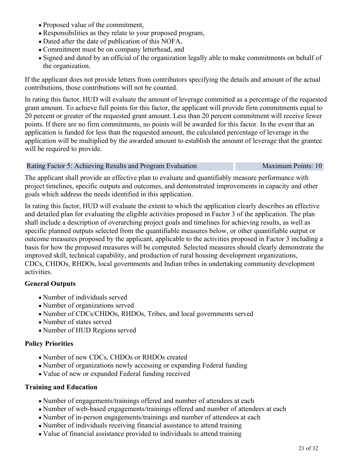- Proposed value of the commitment,
- Responsibilities as they relate to your proposed program,
- Dated after the date of publication of this NOFA,
- Commitment must be on company letterhead, and
- Signed and dated by an official of the organization legally able to make commitments on behalf of the organization.

If the applicant does not provide letters from contributors specifying the details and amount of the actual contributions, those contributions will not be counted.

In rating this factor, HUD will evaluate the amount of leverage committed as a percentage of the requested grant amount. To achieve full points for this factor, the applicant will provide firm commitments equal to 20 percent or greater of the requested grant amount. Less than 20 percent commitment will receive fewer points. If there are no firm commitments, no points will be awarded for this factor. In the event that an application is funded for less than the requested amount, the calculated percentage of leverage in the application will be multiplied by the awarded amount to establish the amount of leverage that the grantee will be required to provide.

### Rating Factor 5: Achieving Results and Program Evaluation Maximum Points: 10

The applicant shall provide an effective plan to evaluate and quantifiably measure performance with project timelines, specific outputs and outcomes, and demonstrated improvements in capacity and other goals which address the needs identified in this application.

In rating this factor, HUD will evaluate the extent to which the application clearly describes an effective and detailed plan for evaluating the eligible activities proposed in Factor 3 of the application. The plan shall include a description of overarching project goals and timelines for achieving results, as well as specific planned outputs selected from the quantifiable measures below, or other quantifiable output or outcome measures proposed by the applicant, applicable to the activities proposed in Factor 3 including a basis for how the proposed measures will be computed. Selected measures should clearly demonstrate the improved skill, technical capability, and production of rural housing development organizations, CDCs, CHDOs, RHDOs, local governments and Indian tribes in undertaking community development activities.

### **General Outputs**

- Number of individuals served
- Number of organizations served
- Number of CDCs/CHDOs, RHDOs, Tribes, and local governments served
- Number of states served
- Number of HUD Regions served

### **Policy Priorities**

- Number of new CDCs, CHDOs or RHDOs created
- Number of organizations newly accessing or expanding Federal funding
- Value of new or expanded Federal funding received

### **Training and Education**

- Number of engagements/trainings offered and number of attendees at each
- Number of web-based engagements/trainings offered and number of attendees at each
- Number of in-person engagements/trainings and number of attendees at each
- Number of individuals receiving financial assistance to attend training
- Value of financial assistance provided to individuals to attend training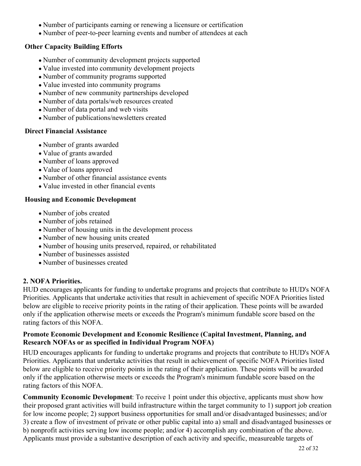- Number of participants earning or renewing a licensure or certification
- Number of peer-to-peer learning events and number of attendees at each

# **Other Capacity Building Efforts**

- Number of community development projects supported
- Value invested into community development projects
- Number of community programs supported
- Value invested into community programs
- Number of new community partnerships developed
- Number of data portals/web resources created
- Number of data portal and web visits
- Number of publications/newsletters created

# **Direct Financial Assistance**

- Number of grants awarded
- Value of grants awarded
- Number of loans approved
- Value of loans approved
- Number of other financial assistance events
- Value invested in other financial events

# **Housing and Economic Development**

- Number of jobs created
- Number of jobs retained
- Number of housing units in the development process
- Number of new housing units created
- Number of housing units preserved, repaired, or rehabilitated
- Number of businesses assisted
- Number of businesses created

# **2. NOFA Priorities.**

HUD encourages applicants for funding to undertake programs and projects that contribute to HUD's NOFA Priorities. Applicants that undertake activities that result in achievement of specific NOFA Priorities listed below are eligible to receive priority points in the rating of their application. These points will be awarded only if the application otherwise meets or exceeds the Program's minimum fundable score based on the rating factors of this NOFA.

### **Promote Economic Development and Economic Resilience (Capital Investment, Planning, and Research NOFAs or as specified in Individual Program NOFA)**

HUD encourages applicants for funding to undertake programs and projects that contribute to HUD's NOFA Priorities. Applicants that undertake activities that result in achievement of specific NOFA Priorities listed below are eligible to receive priority points in the rating of their application. These points will be awarded only if the application otherwise meets or exceeds the Program's minimum fundable score based on the rating factors of this NOFA.

**Community Economic Development**: To receive 1 point under this objective, applicants must show how their proposed grant activities will build infrastructure within the target community to 1) support job creation for low income people; 2) support business opportunities for small and/or disadvantaged businesses; and/or 3) create a flow of investment of private or other public capital into a) small and disadvantaged businesses or b) nonprofit activities serving low income people; and/or 4) accomplish any combination of the above. Applicants must provide a substantive description of each activity and specific, measureable targets of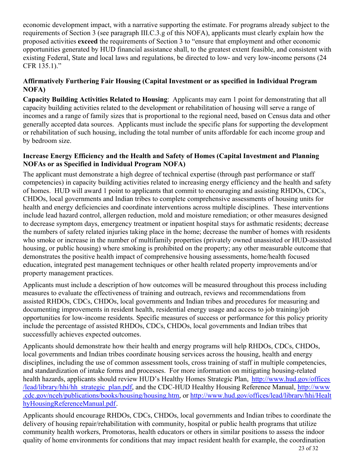economic development impact, with a narrative supporting the estimate. For programs already subject to the requirements of Section 3 (see paragraph III.C.3.g of this NOFA), applicants must clearly explain how the proposed activities **exceed** the requirements of Section 3 to "ensure that employment and other economic opportunities generated by HUD financial assistance shall, to the greatest extent feasible, and consistent with existing Federal, State and local laws and regulations, be directed to low- and very low-income persons (24 CFR 135.1)."

# **Affirmatively Furthering Fair Housing (Capital Investment or as specified in Individual Program NOFA)**

**Capacity Building Activities Related to Housing**:Applicants may earn 1 point for demonstrating that all capacity building activities related to the development or rehabilitation of housing will serve a range of incomes and a range of family sizes that is proportional to the regional need, based on Census data and other generally accepted data sources. Applicants must include the specific plans for supporting the development or rehabilitation of such housing, including the total number of units affordable for each income group and by bedroom size.

# **Increase Energy Efficiency and the Health and Safety of Homes (Capital Investment and Planning NOFAs or as Specified in Individual Program NOFA)**

The applicant must demonstrate a high degree of technical expertise (through past performance or staff competencies) in capacity building activities related to increasing energy efficiency and the health and safety of homes. HUD will award 1 point to applicants that commit to encouraging and assisting RHDOs, CDCs, CHDOs, local governments and Indian tribes to complete comprehensive assessments of housing units for health and energy deficiencies and coordinate interventions across multiple disciplines. These interventions include lead hazard control, allergen reduction, mold and moisture remediation; or other measures designed to decrease symptom days, emergency treatment or inpatient hospital stays for asthmatic residents; decrease the numbers of safety related injuries taking place in the home; decrease the number of homes with residents who smoke or increase in the number of multifamily properties (privately owned unassisted or HUD-assisted housing, or public housing) where smoking is prohibited on the property; any other measurable outcome that demonstrates the positive health impact of comprehensive housing assessments, home/health focused education, integrated pest management techniques or other health related property improvements and/or property management practices.

Applicants must include a description of how outcomes will be measured throughout this process including measures to evaluate the effectiveness of training and outreach, reviews and recommendations from assisted RHDOs, CDCs, CHDOs, local governments and Indian tribes and procedures for measuring and documenting improvements in resident health, residential energy usage and access to job training/job opportunities for low-income residents. Specific measures of success or performance for this policy priority include the percentage of assisted RHDOs, CDCs, CHDOs, local governments and Indian tribes that successfully achieves expected outcomes.

Applicants should demonstrate how their health and energy programs will help RHDOs, CDCs, CHDOs, local governments and Indian tribes coordinate housing services across the housing, health and energy disciplines, including the use of common assessment tools, cross training of staff in multiple competencies, and standardization of intake forms and processes. For more information on mitigating housing-related health hazards, applicants should review HUD's Healthy Homes Strategic Plan, [http://www.hud.gov/offices](http://www.hud.gov/offices/lead/library/hhi/hh_strategic_plan.pdf) [/lead/library/hhi/hh\\_strategic\\_plan.pdf](http://www.hud.gov/offices/lead/library/hhi/hh_strategic_plan.pdf), and the CDC-HUD Healthy Housing Reference Manual, [http://www](http://www.cdc.gov/nceh/publications/books/housing/housing.htm) [.cdc.gov/nceh/publications/books/housing/housing.htm](http://www.cdc.gov/nceh/publications/books/housing/housing.htm), or [http://www.hud.gov/offices/lead/library/hhi/Healt](http://www.hud.gov/offices/lead/library/hhi/HealthyHousingReferenceManual.pdf) [hyHousingReferenceManual.pdf](http://www.hud.gov/offices/lead/library/hhi/HealthyHousingReferenceManual.pdf).

Applicants should encourage RHDOs, CDCs, CHDOs, local governments and Indian tribes to coordinate the delivery of housing repair/rehabilitation with community, hospital or public health programs that utilize community health workers, Promotoras, health educators or others in similar positions to assess the indoor quality of home environments for conditions that may impact resident health for example, the coordination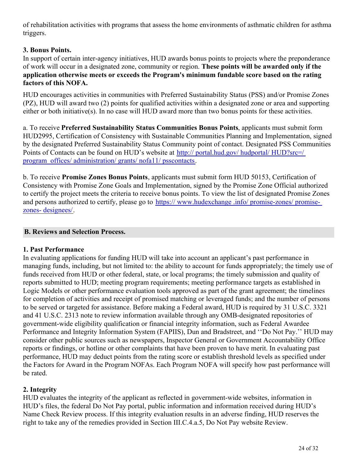of rehabilitation activities with programs that assess the home environments of asthmatic children for asthma triggers.

# **3. Bonus Points.**

In support of certain inter-agency initiatives, HUD awards bonus points to projects where the preponderance of work will occur in a designated zone, community or region. **These points will be awarded only if the application otherwise meets or exceeds the Program's minimum fundable score based on the rating factors of this NOFA.**

HUD encourages activities in communities with Preferred Sustainability Status (PSS) and/or Promise Zones (PZ), HUD will award two (2) points for qualified activities within a designated zone or area and supporting either or both initiative(s). In no case will HUD award more than two bonus points for these activities.

a. To receive **Preferred Sustainability Status Communities Bonus Points**, applicants must submit form HUD2995, Certification of Consistency with Sustainable Communities Planning and Implementation, signed by the designated Preferred Sustainability Status Community point of contact. Designated PSS Communities Points of Contacts can be found on HUD's website at [http:// portal.hud.gov/ hudportal/ HUD?src=/](http://portal.hud.gov/hudportal/HUD?src=/program_offices/administration/grants/nofa11/psscontacts) [program\\_offices/ administration/ grants/ nofa11/ psscontacts](http://portal.hud.gov/hudportal/HUD?src=/program_offices/administration/grants/nofa11/psscontacts).

b. To receive **Promise Zones Bonus Points**, applicants must submit form HUD 50153, Certification of Consistency with Promise Zone Goals and Implementation, signed by the Promise Zone Official authorized to certify the project meets the criteria to receive bonus points. To view the list of designated Promise Zones and persons authorized to certify, please go to [https:// www.hudexchange .info/ promise-zones/ promise](https://www.hudexchange.info/promise-zones/promise-zones-designees/)[zones- designees/](https://www.hudexchange.info/promise-zones/promise-zones-designees/).

# **B. Reviews and Selection Process.**

### **1. Past Performance**

In evaluating applications for funding HUD will take into account an applicant's past performance in managing funds, including, but not limited to: the ability to account for funds appropriately; the timely use of funds received from HUD or other federal, state, or local programs; the timely submission and quality of reports submitted to HUD; meeting program requirements; meeting performance targets as established in Logic Models or other performance evaluation tools approved as part of the grant agreement; the timelines for completion of activities and receipt of promised matching or leveraged funds; and the number of persons to be served or targeted for assistance. Before making a Federal award, HUD is required by 31 U.S.C. 3321 and 41 U.S.C. 2313 note to review information available through any OMB-designated repositories of government-wide eligibility qualification or financial integrity information, such as Federal Awardee Performance and Integrity Information System (FAPIIS), Dun and Bradstreet, and ''Do Not Pay.'' HUD may consider other public sources such as newspapers, Inspector General or Government Accountability Office reports or findings, or hotline or other complaints that have been proven to have merit. In evaluating past performance, HUD may deduct points from the rating score or establish threshold levels as specified under the Factors for Award in the Program NOFAs. Each Program NOFA will specify how past performance will be rated.

# **2. Integrity**

HUD evaluates the integrity of the applicant as reflected in government-wide websites, information in HUD's files, the federal Do Not Pay portal, public information and information received during HUD's Name Check Review process. If this integrity evaluation results in an adverse finding, HUD reserves the right to take any of the remedies provided in Section III.C.4.a.5, Do Not Pay website Review.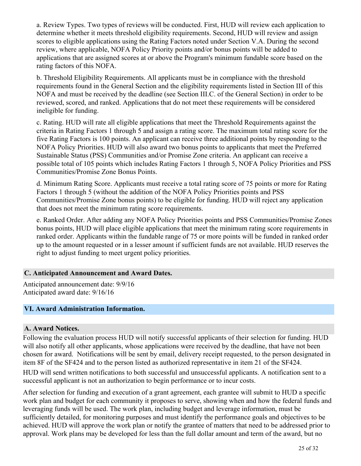a. Review Types. Two types of reviews will be conducted. First, HUD will review each application to determine whether it meets threshold eligibility requirements. Second, HUD will review and assign scores to eligible applications using the Rating Factors noted under Section V.A. During the second review, where applicable, NOFA Policy Priority points and/or bonus points will be added to applications that are assigned scores at or above the Program's minimum fundable score based on the rating factors of this NOFA.

b. Threshold Eligibility Requirements. All applicants must be in compliance with the threshold requirements found in the General Section and the eligibility requirements listed in Section III of this NOFA and must be received by the deadline (see Section III.C. of the General Section) in order to be reviewed, scored, and ranked. Applications that do not meet these requirements will be considered ineligible for funding.

c. Rating. HUD will rate all eligible applications that meet the Threshold Requirements against the criteria in Rating Factors 1 through 5 and assign a rating score. The maximum total rating score for the five Rating Factors is 100 points. An applicant can receive three additional points by responding to the NOFA Policy Priorities. HUD will also award two bonus points to applicants that meet the Preferred Sustainable Status (PSS) Communities and/or Promise Zone criteria. An applicant can receive a possible total of 105 points which includes Rating Factors 1 through 5, NOFA Policy Priorities and PSS Communities/Promise Zone Bonus Points.

d. Minimum Rating Score. Applicants must receive a total rating score of 75 points or more for Rating Factors 1 through 5 (without the addition of the NOFA Policy Priorities points and PSS Communities/Promise Zone bonus points) to be eligible for funding. HUD will reject any application that does not meet the minimum rating score requirements.

e. Ranked Order. After adding any NOFA Policy Priorities points and PSS Communities/Promise Zones bonus points, HUD will place eligible applications that meet the minimum rating score requirements in ranked order. Applicants within the fundable range of 75 or more points will be funded in ranked order up to the amount requested or in a lesser amount if sufficient funds are not available. HUD reserves the right to adjust funding to meet urgent policy priorities.

### **C. Anticipated Announcement and Award Dates.**

Anticipated announcement date: 9/9/16 Anticipated award date: 9/16/16

# <span id="page-26-0"></span>**VI. Award Administration Information.**

### **A. Award Notices.**

Following the evaluation process HUD will notify successful applicants of their selection for funding. HUD will also notify all other applicants, whose applications were received by the deadline, that have not been chosen for award. Notifications will be sent by email, delivery receipt requested, to the person designated in item 8F of the SF424 and to the person listed as authorized representative in item 21 of the SF424.

HUD will send written notifications to both successful and unsuccessful applicants. A notification sent to a successful applicant is not an authorization to begin performance or to incur costs.

After selection for funding and execution of a grant agreement, each grantee will submit to HUD a specific work plan and budget for each community it proposes to serve, showing when and how the federal funds and leveraging funds will be used. The work plan, including budget and leverage information, must be sufficiently detailed, for monitoring purposes and must identify the performance goals and objectives to be achieved. HUD will approve the work plan or notify the grantee of matters that need to be addressed prior to approval. Work plans may be developed for less than the full dollar amount and term of the award, but no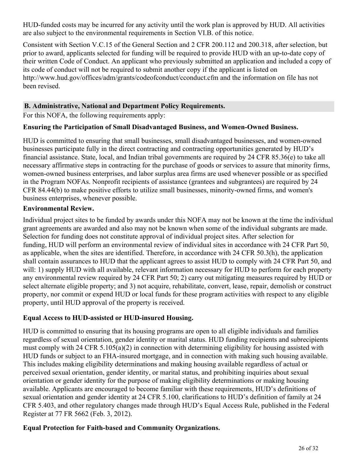HUD-funded costs may be incurred for any activity until the work plan is approved by HUD. All activities are also subject to the environmental requirements in Section VI.B. of this notice.

Consistent with Section V.C.15 of the General Section and 2 CFR 200.112 and 200.318, after selection, but prior to award, applicants selected for funding will be required to provide HUD with an up-to-date copy of their written Code of Conduct. An applicant who previously submitted an application and included a copy of its code of conduct will not be required to submit another copy if the applicant is listed on http://www.hud.gov/offices/adm/grants/codeofconduct/cconduct.cfm and the information on file has not been revised.

# **B. Administrative, National and Department Policy Requirements.**

For this NOFA, the following requirements apply:

# **Ensuring the Participation of Small Disadvantaged Business, and Women-Owned Business.**

HUD is committed to ensuring that small businesses, small disadvantaged businesses, and women-owned businesses participate fully in the direct contracting and contracting opportunities generated by HUD's financial assistance. State, local, and Indian tribal governments are required by 24 CFR 85.36(e) to take all necessary affirmative steps in contracting for the purchase of goods or services to assure that minority firms, women-owned business enterprises, and labor surplus area firms are used whenever possible or as specified in the Program NOFAs. Nonprofit recipients of assistance (grantees and subgrantees) are required by 24 CFR 84.44(b) to make positive efforts to utilize small businesses, minority-owned firms, and women's business enterprises, whenever possible.

# **Environmental Review.**

Individual project sites to be funded by awards under this NOFA may not be known at the time the individual grant agreements are awarded and also may not be known when some of the individual subgrants are made. Selection for funding does not constitute approval of individual project sites. After selection for funding, HUD will perform an environmental review of individual sites in accordance with 24 CFR Part 50, as applicable, when the sites are identified. Therefore, in accordance with 24 CFR 50.3(h), the application shall contain assurances to HUD that the applicant agrees to assist HUD to comply with 24 CFR Part 50, and will: 1) supply HUD with all available, relevant information necessary for HUD to perform for each property any environmental review required by 24 CFR Part 50; 2) carry out mitigating measures required by HUD or select alternate eligible property; and 3) not acquire, rehabilitate, convert, lease, repair, demolish or construct property, nor commit or expend HUD or local funds for these program activities with respect to any eligible property, until HUD approval of the property is received.

# **Equal Access to HUD-assisted or HUD-insured Housing.**

HUD is committed to ensuring that its housing programs are open to all eligible individuals and families regardless of sexual orientation, gender identity or marital status. HUD funding recipients and subrecipients must comply with 24 CFR 5.105(a)(2) in connection with determining eligibility for housing assisted with HUD funds or subject to an FHA-insured mortgage, and in connection with making such housing available. This includes making eligibility determinations and making housing available regardless of actual or perceived sexual orientation, gender identity, or marital status, and prohibiting inquiries about sexual orientation or gender identity for the purpose of making eligibility determinations or making housing available. Applicants are encouraged to become familiar with these requirements, HUD's definitions of sexual orientation and gender identity at 24 CFR 5.100, clarifications to HUD's definition of family at 24 CFR 5.403, and other regulatory changes made through HUD's Equal Access Rule, published in the Federal Register at 77 FR 5662 (Feb. 3, 2012).

# **Equal Protection for Faith-based and Community Organizations.**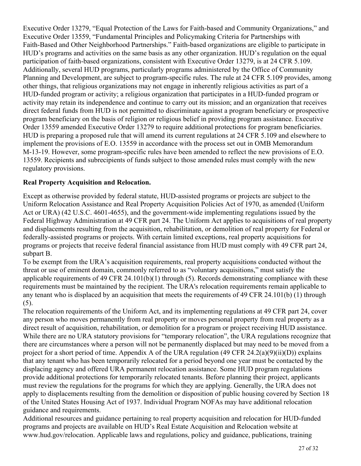Executive Order 13279, "Equal Protection of the Laws for Faith-based and Community Organizations," and Executive Order 13559, "Fundamental Principles and Policymaking Criteria for Partnerships with Faith-Based and Other Neighborhood Partnerships." Faith-based organizations are eligible to participate in HUD's programs and activities on the same basis as any other organization. HUD's regulation on the equal participation of faith-based organizations, consistent with Executive Order 13279, is at 24 CFR 5.109. Additionally, several HUD programs, particularly programs administered by the Office of Community Planning and Development, are subject to program-specific rules. The rule at 24 CFR 5.109 provides, among other things, that religious organizations may not engage in inherently religious activities as part of a HUD-funded program or activity; a religious organization that participates in a HUD-funded program or activity may retain its independence and continue to carry out its mission; and an organization that receives direct federal funds from HUD is not permitted to discriminate against a program beneficiary or prospective program beneficiary on the basis of religion or religious belief in providing program assistance. Executive Order 13559 amended Executive Order 13279 to require additional protections for program beneficiaries. HUD is preparing a proposed rule that will amend its current regulations at 24 CFR 5.109 and elsewhere to implement the provisions of E.O. 13559 in accordance with the process set out in OMB Memorandum M-13-19. However, some program-specific rules have been amended to reflect the new provisions of E.O. 13559. Recipients and subrecipients of funds subject to those amended rules must comply with the new regulatory provisions.

# **Real Property Acquisition and Relocation.**

Except as otherwise provided by federal statute, HUD-assisted programs or projects are subject to the Uniform Relocation Assistance and Real Property Acquisition Policies Act of 1970, as amended (Uniform Act or URA) (42 U.S.C. 4601-4655), and the government-wide implementing regulations issued by the Federal Highway Administration at 49 CFR part 24. The Uniform Act applies to acquisitions of real property and displacements resulting from the acquisition, rehabilitation, or demolition of real property for Federal or federally-assisted programs or projects. With certain limited exceptions, real property acquisitions for programs or projects that receive federal financial assistance from HUD must comply with 49 CFR part 24, subpart B.

To be exempt from the URA's acquisition requirements, real property acquisitions conducted without the threat or use of eminent domain, commonly referred to as "voluntary acquisitions," must satisfy the applicable requirements of 49 CFR 24.101(b)(1) through (5). Records demonstrating compliance with these requirements must be maintained by the recipient. The URA's relocation requirements remain applicable to any tenant who is displaced by an acquisition that meets the requirements of 49 CFR 24.101(b) (1) through (5).

The relocation requirements of the Uniform Act, and its implementing regulations at 49 CFR part 24, cover any person who moves permanently from real property or moves personal property from real property as a direct result of acquisition, rehabilitation, or demolition for a program or project receiving HUD assistance. While there are no URA statutory provisions for "temporary relocation", the URA regulations recognize that there are circumstances where a person will not be permanently displaced but may need to be moved from a project for a short period of time. Appendix A of the URA regulation (49 CFR 24.2(a)(9)(ii)(D)) explains that any tenant who has been temporarily relocated for a period beyond one year must be contacted by the displacing agency and offered URA permanent relocation assistance. Some HUD program regulations provide additional protections for temporarily relocated tenants. Before planning their project, applicants must review the regulations for the programs for which they are applying. Generally, the URA does not apply to displacements resulting from the demolition or disposition of public housing covered by Section 18 of the United States Housing Act of 1937. Individual Program NOFAs may have additional relocation guidance and requirements.

Additional resources and guidance pertaining to real property acquisition and relocation for HUD-funded programs and projects are available on HUD's Real Estate Acquisition and Relocation website at www.hud.gov/relocation. Applicable laws and regulations, policy and guidance, publications, training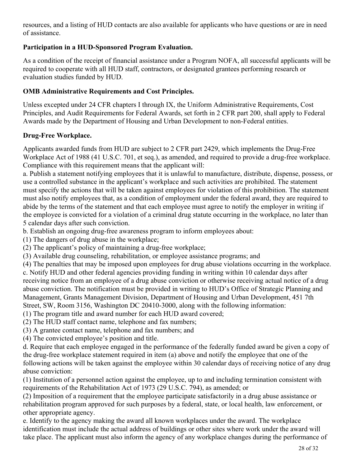resources, and a listing of HUD contacts are also available for applicants who have questions or are in need of assistance.

# **Participation in a HUD-Sponsored Program Evaluation.**

As a condition of the receipt of financial assistance under a Program NOFA, all successful applicants will be required to cooperate with all HUD staff, contractors, or designated grantees performing research or evaluation studies funded by HUD.

# **OMB Administrative Requirements and Cost Principles.**

Unless excepted under 24 CFR chapters I through IX, the Uniform Administrative Requirements, Cost Principles, and Audit Requirements for Federal Awards, set forth in 2 CFR part 200, shall apply to Federal Awards made by the Department of Housing and Urban Development to non-Federal entities.

# **Drug-Free Workplace.**

Applicants awarded funds from HUD are subject to 2 CFR part 2429, which implements the Drug-Free Workplace Act of 1988 (41 U.S.C. 701, et seq.), as amended, and required to provide a drug-free workplace. Compliance with this requirement means that the applicant will:

a. Publish a statement notifying employees that it is unlawful to manufacture, distribute, dispense, possess, or use a controlled substance in the applicant's workplace and such activities are prohibited. The statement must specify the actions that will be taken against employees for violation of this prohibition. The statement must also notify employees that, as a condition of employment under the federal award, they are required to abide by the terms of the statement and that each employee must agree to notify the employer in writing if the employee is convicted for a violation of a criminal drug statute occurring in the workplace, no later than 5 calendar days after such conviction.

b. Establish an ongoing drug-free awareness program to inform employees about:

(1) The dangers of drug abuse in the workplace;

(2) The applicant's policy of maintaining a drug-free workplace;

(3) Available drug counseling, rehabilitation, or employee assistance programs; and

(4) The penalties that may be imposed upon employees for drug abuse violations occurring in the workplace. c. Notify HUD and other federal agencies providing funding in writing within 10 calendar days after receiving notice from an employee of a drug abuse conviction or otherwise receiving actual notice of a drug abuse conviction. The notification must be provided in writing to HUD's Office of Strategic Planning and Management, Grants Management Division, Department of Housing and Urban Development, 451 7th Street, SW, Room 3156, Washington DC 20410-3000, along with the following information:

(1) The program title and award number for each HUD award covered;

- (2) The HUD staff contact name, telephone and fax numbers;
- (3) A grantee contact name, telephone and fax numbers; and

(4) The convicted employee's position and title.

d. Require that each employee engaged in the performance of the federally funded award be given a copy of the drug-free workplace statement required in item (a) above and notify the employee that one of the following actions will be taken against the employee within 30 calendar days of receiving notice of any drug abuse conviction:

(1) Institution of a personnel action against the employee, up to and including termination consistent with requirements of the Rehabilitation Act of 1973 (29 U.S.C. 794), as amended; or

(2) Imposition of a requirement that the employee participate satisfactorily in a drug abuse assistance or rehabilitation program approved for such purposes by a federal, state, or local health, law enforcement, or other appropriate agency.

e. Identify to the agency making the award all known workplaces under the award. The workplace identification must include the actual address of buildings or other sites where work under the award will take place. The applicant must also inform the agency of any workplace changes during the performance of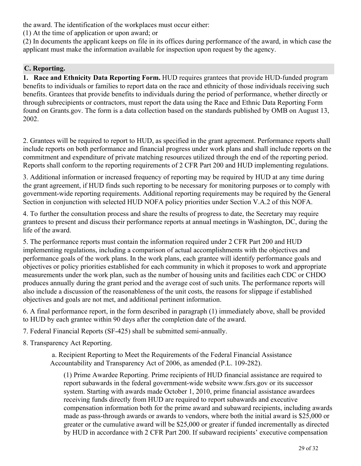the award. The identification of the workplaces must occur either:

(1) At the time of application or upon award; or

(2) In documents the applicant keeps on file in its offices during performance of the award, in which case the applicant must make the information available for inspection upon request by the agency.

# **C. Reporting.**

**1. Race and Ethnicity Data Reporting Form.** HUD requires grantees that provide HUD-funded program benefits to individuals or families to report data on the race and ethnicity of those individuals receiving such benefits. Grantees that provide benefits to individuals during the period of performance, whether directly or through subrecipients or contractors, must report the data using the Race and Ethnic Data Reporting Form found on Grants.gov. The form is a data collection based on the standards published by OMB on August 13, 2002.

2. Grantees will be required to report to HUD, as specified in the grant agreement. Performance reports shall include reports on both performance and financial progress under work plans and shall include reports on the commitment and expenditure of private matching resources utilized through the end of the reporting period. Reports shall conform to the reporting requirements of 2 CFR Part 200 and HUD implementing regulations.

3. Additional information or increased frequency of reporting may be required by HUD at any time during the grant agreement, if HUD finds such reporting to be necessary for monitoring purposes or to comply with government-wide reporting requirements. Additional reporting requirements may be required by the General Section in conjunction with selected HUD NOFA policy priorities under Section V.A.2 of this NOFA.

4. To further the consultation process and share the results of progress to date, the Secretary may require grantees to present and discuss their performance reports at annual meetings in Washington, DC, during the life of the award.

5. The performance reports must contain the information required under 2 CFR Part 200 and HUD implementing regulations, including a comparison of actual accomplishments with the objectives and performance goals of the work plans. In the work plans, each grantee will identify performance goals and objectives or policy priorities established for each community in which it proposes to work and appropriate measurements under the work plan, such as the number of housing units and facilities each CDC or CHDO produces annually during the grant period and the average cost of such units. The performance reports will also include a discussion of the reasonableness of the unit costs, the reasons for slippage if established objectives and goals are not met, and additional pertinent information.

6. A final performance report, in the form described in paragraph (1) immediately above, shall be provided to HUD by each grantee within 90 days after the completion date of the award.

7. Federal Financial Reports (SF-425) shall be submitted semi-annually.

8. Transparency Act Reporting.

 a. Recipient Reporting to Meet the Requirements of the Federal Financial Assistance Accountability and Transparency Act of 2006, as amended (P.L. 109-282).

(1) Prime Awardee Reporting. Prime recipients of HUD financial assistance are required to report subawards in the federal government-wide website www.fsrs.gov or its successor system. Starting with awards made October 1, 2010, prime financial assistance awardees receiving funds directly from HUD are required to report subawards and executive compensation information both for the prime award and subaward recipients, including awards made as pass-through awards or awards to vendors, where both the initial award is \$25,000 or greater or the cumulative award will be \$25,000 or greater if funded incrementally as directed by HUD in accordance with 2 CFR Part 200. If subaward recipients' executive compensation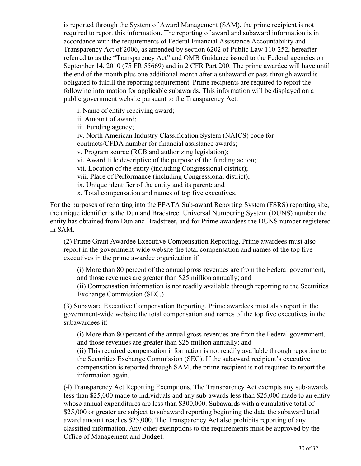is reported through the System of Award Management (SAM), the prime recipient is not required to report this information. The reporting of award and subaward information is in accordance with the requirements of Federal Financial Assistance Accountability and Transparency Act of 2006, as amended by section 6202 of Public Law 110-252, hereafter referred to as the "Transparency Act" and OMB Guidance issued to the Federal agencies on September 14, 2010 (75 FR 55669) and in 2 CFR Part 200. The prime awardee will have until the end of the month plus one additional month after a subaward or pass-through award is obligated to fulfill the reporting requirement. Prime recipients are required to report the following information for applicable subawards. This information will be displayed on a public government website pursuant to the Transparency Act.

i. Name of entity receiving award;

ii. Amount of award;

iii. Funding agency;

iv. North American Industry Classification System (NAICS) code for

contracts/CFDA number for financial assistance awards;

v. Program source (RCB and authorizing legislation);

vi. Award title descriptive of the purpose of the funding action;

vii. Location of the entity (including Congressional district);

viii. Place of Performance (including Congressional district);

ix. Unique identifier of the entity and its parent; and

x. Total compensation and names of top five executives.

For the purposes of reporting into the FFATA Sub-award Reporting System (FSRS) reporting site, the unique identifier is the Dun and Bradstreet Universal Numbering System (DUNS) number the entity has obtained from Dun and Bradstreet, and for Prime awardees the DUNS number registered in SAM.

(2) Prime Grant Awardee Executive Compensation Reporting. Prime awardees must also report in the government-wide website the total compensation and names of the top five executives in the prime awardee organization if:

(i) More than 80 percent of the annual gross revenues are from the Federal government, and those revenues are greater than \$25 million annually; and

(ii) Compensation information is not readily available through reporting to the Securities Exchange Commission (SEC.)

(3) Subaward Executive Compensation Reporting. Prime awardees must also report in the government-wide website the total compensation and names of the top five executives in the subawardees if:

(i) More than 80 percent of the annual gross revenues are from the Federal government, and those revenues are greater than \$25 million annually; and

(ii) This required compensation information is not readily available through reporting to the Securities Exchange Commission (SEC). If the subaward recipient's executive compensation is reported through SAM, the prime recipient is not required to report the information again.

(4) Transparency Act Reporting Exemptions. The Transparency Act exempts any sub-awards less than \$25,000 made to individuals and any sub-awards less than \$25,000 made to an entity whose annual expenditures are less than \$300,000. Subawards with a cumulative total of \$25,000 or greater are subject to subaward reporting beginning the date the subaward total award amount reaches \$25,000. The Transparency Act also prohibits reporting of any classified information. Any other exemptions to the requirements must be approved by the Office of Management and Budget.